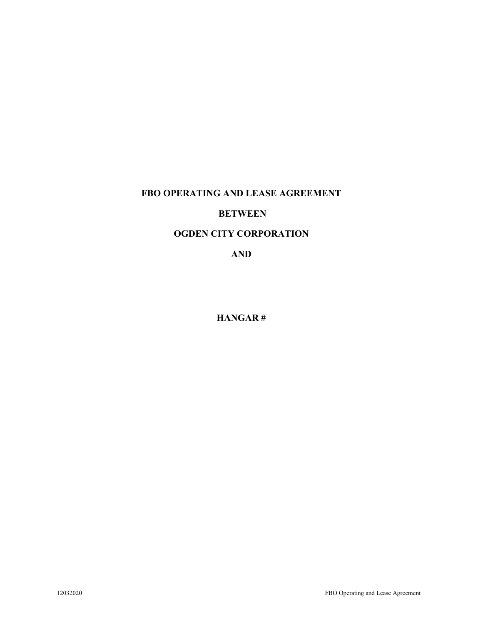## **FBO OPERATING AND LEASE AGREEMENT**

### **BETWEEN**

# **OGDEN CITY CORPORATION**

**AND**

**HANGAR #**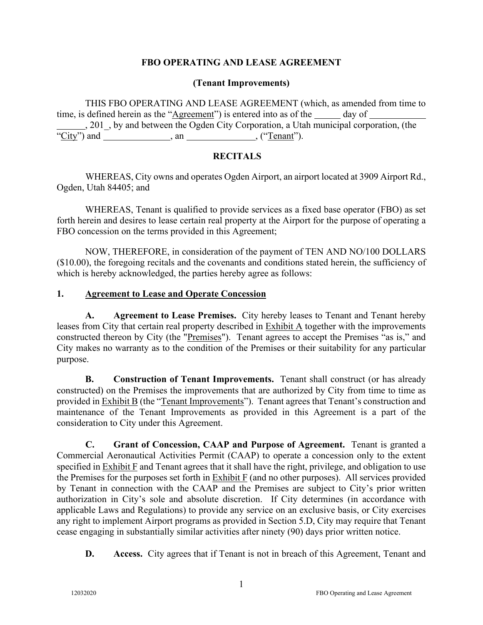### **FBO OPERATING AND LEASE AGREEMENT**

### **(Tenant Improvements)**

THIS FBO OPERATING AND LEASE AGREEMENT (which, as amended from time to time, is defined herein as the "Agreement") is entered into as of the day of , 201\_, by and between the Ogden City Corporation, a Utah municipal corporation, (the " $City$ ") and  $\overline{\qquad}$ , an  $\qquad \qquad$ , ("Tenant").

### **RECITALS**

WHEREAS, City owns and operates Ogden Airport, an airport located at 3909 Airport Rd., Ogden, Utah 84405; and

WHEREAS, Tenant is qualified to provide services as a fixed base operator (FBO) as set forth herein and desires to lease certain real property at the Airport for the purpose of operating a FBO concession on the terms provided in this Agreement;

NOW, THEREFORE, in consideration of the payment of TEN AND NO/100 DOLLARS (\$10.00), the foregoing recitals and the covenants and conditions stated herein, the sufficiency of which is hereby acknowledged, the parties hereby agree as follows:

### **1. Agreement to Lease and Operate Concession**

**A. Agreement to Lease Premises.** City hereby leases to Tenant and Tenant hereby leases from City that certain real property described in Exhibit A together with the improvements constructed thereon by City (the "Premises"). Tenant agrees to accept the Premises "as is," and City makes no warranty as to the condition of the Premises or their suitability for any particular purpose.

**B. Construction of Tenant Improvements.** Tenant shall construct (or has already constructed) on the Premises the improvements that are authorized by City from time to time as provided in Exhibit B (the "Tenant Improvements"). Tenant agrees that Tenant's construction and maintenance of the Tenant Improvements as provided in this Agreement is a part of the consideration to City under this Agreement.

**C. Grant of Concession, CAAP and Purpose of Agreement.** Tenant is granted a Commercial Aeronautical Activities Permit (CAAP) to operate a concession only to the extent specified in Exhibit F and Tenant agrees that it shall have the right, privilege, and obligation to use the Premises for the purposes set forth in  $\overline{\text{Exhibit F}}$  (and no other purposes). All services provided by Tenant in connection with the CAAP and the Premises are subject to City's prior written authorization in City's sole and absolute discretion. If City determines (in accordance with applicable Laws and Regulations) to provide any service on an exclusive basis, or City exercises any right to implement Airport programs as provided in Section 5.D, City may require that Tenant cease engaging in substantially similar activities after ninety (90) days prior written notice.

**D.** Access. City agrees that if Tenant is not in breach of this Agreement, Tenant and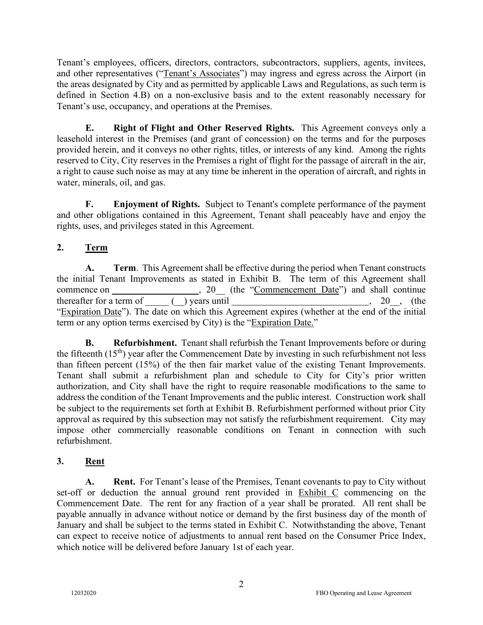Tenant's employees, officers, directors, contractors, subcontractors, suppliers, agents, invitees, and other representatives ("Tenant's Associates") may ingress and egress across the Airport (in the areas designated by City and as permitted by applicable Laws and Regulations, as such term is defined in Section 4.B) on a non-exclusive basis and to the extent reasonably necessary for Tenant's use, occupancy, and operations at the Premises.

**E. Right of Flight and Other Reserved Rights.** This Agreement conveys only a leasehold interest in the Premises (and grant of concession) on the terms and for the purposes provided herein, and it conveys no other rights, titles, or interests of any kind. Among the rights reserved to City, City reserves in the Premises a right of flight for the passage of aircraft in the air, a right to cause such noise as may at any time be inherent in the operation of aircraft, and rights in water, minerals, oil, and gas.

**F. Enjoyment of Rights.** Subject to Tenant's complete performance of the payment and other obligations contained in this Agreement, Tenant shall peaceably have and enjoy the rights, uses, and privileges stated in this Agreement.

# **2. Term**

**A. Term**. This Agreement shall be effective during the period when Tenant constructs the initial Tenant Improvements as stated in Exhibit B. The term of this Agreement shall commence on , 20\_\_ (the "Commencement Date") and shall continue thereafter for a term of  $($ ) years until , 20, (the "Expiration Date"). The date on which this Agreement expires (whether at the end of the initial term or any option terms exercised by City) is the "Expiration Date."

**B. Refurbishment.** Tenant shall refurbish the Tenant Improvements before or during the fifteenth  $(15<sup>th</sup>)$  year after the Commencement Date by investing in such refurbishment not less than fifteen percent (15%) of the then fair market value of the existing Tenant Improvements. Tenant shall submit a refurbishment plan and schedule to City for City's prior written authorization, and City shall have the right to require reasonable modifications to the same to address the condition of the Tenant Improvements and the public interest. Construction work shall be subject to the requirements set forth at Exhibit B. Refurbishment performed without prior City approval as required by this subsection may not satisfy the refurbishment requirement. City may impose other commercially reasonable conditions on Tenant in connection with such refurbishment.

# **3. Rent**

**A. Rent.** For Tenant's lease of the Premises, Tenant covenants to pay to City without set-off or deduction the annual ground rent provided in Exhibit C commencing on the Commencement Date. The rent for any fraction of a year shall be prorated. All rent shall be payable annually in advance without notice or demand by the first business day of the month of January and shall be subject to the terms stated in Exhibit C. Notwithstanding the above, Tenant can expect to receive notice of adjustments to annual rent based on the Consumer Price Index, which notice will be delivered before January 1st of each year.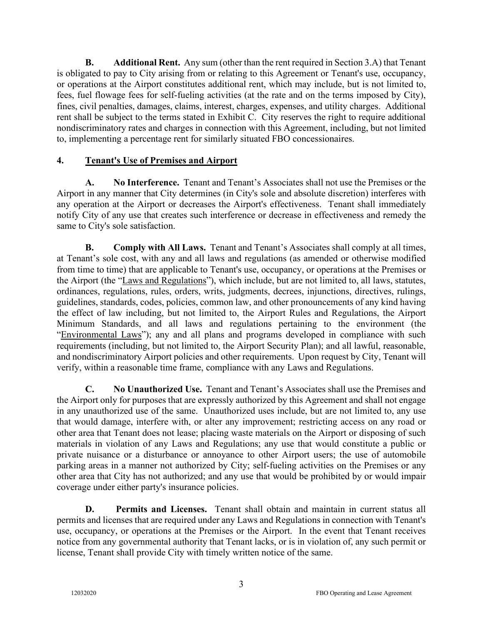**B. Additional Rent.** Any sum (other than the rent required in Section 3.A) that Tenant is obligated to pay to City arising from or relating to this Agreement or Tenant's use, occupancy, or operations at the Airport constitutes additional rent, which may include, but is not limited to, fees, fuel flowage fees for self-fueling activities (at the rate and on the terms imposed by City), fines, civil penalties, damages, claims, interest, charges, expenses, and utility charges. Additional rent shall be subject to the terms stated in Exhibit C. City reserves the right to require additional nondiscriminatory rates and charges in connection with this Agreement, including, but not limited to, implementing a percentage rent for similarly situated FBO concessionaires.

## **4. Tenant's Use of Premises and Airport**

**A. No Interference.** Tenant and Tenant's Associates shall not use the Premises or the Airport in any manner that City determines (in City's sole and absolute discretion) interferes with any operation at the Airport or decreases the Airport's effectiveness. Tenant shall immediately notify City of any use that creates such interference or decrease in effectiveness and remedy the same to City's sole satisfaction.

**B. Comply with All Laws.** Tenant and Tenant's Associates shall comply at all times, at Tenant's sole cost, with any and all laws and regulations (as amended or otherwise modified from time to time) that are applicable to Tenant's use, occupancy, or operations at the Premises or the Airport (the "Laws and Regulations"), which include, but are not limited to, all laws, statutes, ordinances, regulations, rules, orders, writs, judgments, decrees, injunctions, directives, rulings, guidelines, standards, codes, policies, common law, and other pronouncements of any kind having the effect of law including, but not limited to, the Airport Rules and Regulations, the Airport Minimum Standards, and all laws and regulations pertaining to the environment (the "Environmental Laws"); any and all plans and programs developed in compliance with such requirements (including, but not limited to, the Airport Security Plan); and all lawful, reasonable, and nondiscriminatory Airport policies and other requirements. Upon request by City, Tenant will verify, within a reasonable time frame, compliance with any Laws and Regulations.

**C. No Unauthorized Use.** Tenant and Tenant's Associates shall use the Premises and the Airport only for purposes that are expressly authorized by this Agreement and shall not engage in any unauthorized use of the same. Unauthorized uses include, but are not limited to, any use that would damage, interfere with, or alter any improvement; restricting access on any road or other area that Tenant does not lease; placing waste materials on the Airport or disposing of such materials in violation of any Laws and Regulations; any use that would constitute a public or private nuisance or a disturbance or annoyance to other Airport users; the use of automobile parking areas in a manner not authorized by City; self-fueling activities on the Premises or any other area that City has not authorized; and any use that would be prohibited by or would impair coverage under either party's insurance policies.

**D. Permits and Licenses.** Tenant shall obtain and maintain in current status all permits and licenses that are required under any Laws and Regulations in connection with Tenant's use, occupancy, or operations at the Premises or the Airport. In the event that Tenant receives notice from any governmental authority that Tenant lacks, or is in violation of, any such permit or license, Tenant shall provide City with timely written notice of the same.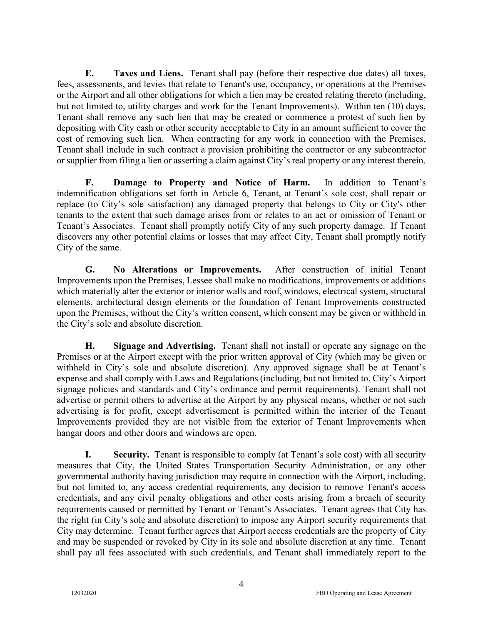**E. Taxes and Liens.** Tenant shall pay (before their respective due dates) all taxes, fees, assessments, and levies that relate to Tenant's use, occupancy, or operations at the Premises or the Airport and all other obligations for which a lien may be created relating thereto (including, but not limited to, utility charges and work for the Tenant Improvements). Within ten (10) days, Tenant shall remove any such lien that may be created or commence a protest of such lien by depositing with City cash or other security acceptable to City in an amount sufficient to cover the cost of removing such lien. When contracting for any work in connection with the Premises, Tenant shall include in such contract a provision prohibiting the contractor or any subcontractor or supplier from filing a lien or asserting a claim against City's real property or any interest therein.

**F. Damage to Property and Notice of Harm.** In addition to Tenant's indemnification obligations set forth in Article 6, Tenant, at Tenant's sole cost, shall repair or replace (to City's sole satisfaction) any damaged property that belongs to City or City's other tenants to the extent that such damage arises from or relates to an act or omission of Tenant or Tenant's Associates. Tenant shall promptly notify City of any such property damage. If Tenant discovers any other potential claims or losses that may affect City, Tenant shall promptly notify City of the same.

**G. No Alterations or Improvements.** After construction of initial Tenant Improvements upon the Premises, Lessee shall make no modifications, improvements or additions which materially alter the exterior or interior walls and roof, windows, electrical system, structural elements, architectural design elements or the foundation of Tenant Improvements constructed upon the Premises, without the City's written consent, which consent may be given or withheld in the City's sole and absolute discretion.

**H. Signage and Advertising.** Tenant shall not install or operate any signage on the Premises or at the Airport except with the prior written approval of City (which may be given or withheld in City's sole and absolute discretion). Any approved signage shall be at Tenant's expense and shall comply with Laws and Regulations (including, but not limited to, City's Airport signage policies and standards and City's ordinance and permit requirements). Tenant shall not advertise or permit others to advertise at the Airport by any physical means, whether or not such advertising is for profit, except advertisement is permitted within the interior of the Tenant Improvements provided they are not visible from the exterior of Tenant Improvements when hangar doors and other doors and windows are open.

**I. Security.** Tenant is responsible to comply (at Tenant's sole cost) with all security measures that City, the United States Transportation Security Administration, or any other governmental authority having jurisdiction may require in connection with the Airport, including, but not limited to, any access credential requirements, any decision to remove Tenant's access credentials, and any civil penalty obligations and other costs arising from a breach of security requirements caused or permitted by Tenant or Tenant's Associates. Tenant agrees that City has the right (in City's sole and absolute discretion) to impose any Airport security requirements that City may determine. Tenant further agrees that Airport access credentials are the property of City and may be suspended or revoked by City in its sole and absolute discretion at any time. Tenant shall pay all fees associated with such credentials, and Tenant shall immediately report to the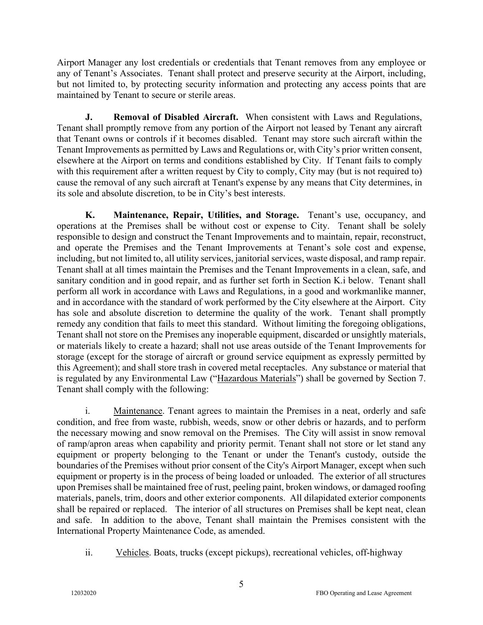Airport Manager any lost credentials or credentials that Tenant removes from any employee or any of Tenant's Associates. Tenant shall protect and preserve security at the Airport, including, but not limited to, by protecting security information and protecting any access points that are maintained by Tenant to secure or sterile areas.

**J. Removal of Disabled Aircraft.** When consistent with Laws and Regulations, Tenant shall promptly remove from any portion of the Airport not leased by Tenant any aircraft that Tenant owns or controls if it becomes disabled. Tenant may store such aircraft within the Tenant Improvements as permitted by Laws and Regulations or, with City's prior written consent, elsewhere at the Airport on terms and conditions established by City. If Tenant fails to comply with this requirement after a written request by City to comply, City may (but is not required to) cause the removal of any such aircraft at Tenant's expense by any means that City determines, in its sole and absolute discretion, to be in City's best interests.

**K. Maintenance, Repair, Utilities, and Storage.** Tenant's use, occupancy, and operations at the Premises shall be without cost or expense to City. Tenant shall be solely responsible to design and construct the Tenant Improvements and to maintain, repair, reconstruct, and operate the Premises and the Tenant Improvements at Tenant's sole cost and expense, including, but not limited to, all utility services, janitorial services, waste disposal, and ramp repair. Tenant shall at all times maintain the Premises and the Tenant Improvements in a clean, safe, and sanitary condition and in good repair, and as further set forth in Section K.i below. Tenant shall perform all work in accordance with Laws and Regulations, in a good and workmanlike manner, and in accordance with the standard of work performed by the City elsewhere at the Airport. City has sole and absolute discretion to determine the quality of the work. Tenant shall promptly remedy any condition that fails to meet this standard. Without limiting the foregoing obligations, Tenant shall not store on the Premises any inoperable equipment, discarded or unsightly materials, or materials likely to create a hazard; shall not use areas outside of the Tenant Improvements for storage (except for the storage of aircraft or ground service equipment as expressly permitted by this Agreement); and shall store trash in covered metal receptacles. Any substance or material that is regulated by any Environmental Law ("Hazardous Materials") shall be governed by Section 7. Tenant shall comply with the following:

i. Maintenance. Tenant agrees to maintain the Premises in a neat, orderly and safe condition, and free from waste, rubbish, weeds, snow or other debris or hazards, and to perform the necessary mowing and snow removal on the Premises. The City will assist in snow removal of ramp/apron areas when capability and priority permit. Tenant shall not store or let stand any equipment or property belonging to the Tenant or under the Tenant's custody, outside the boundaries of the Premises without prior consent of the City's Airport Manager, except when such equipment or property is in the process of being loaded or unloaded. The exterior of all structures upon Premises shall be maintained free of rust, peeling paint, broken windows, or damaged roofing materials, panels, trim, doors and other exterior components. All dilapidated exterior components shall be repaired or replaced. The interior of all structures on Premises shall be kept neat, clean and safe. In addition to the above, Tenant shall maintain the Premises consistent with the International Property Maintenance Code, as amended.

ii. Vehicles. Boats, trucks (except pickups), recreational vehicles, off-highway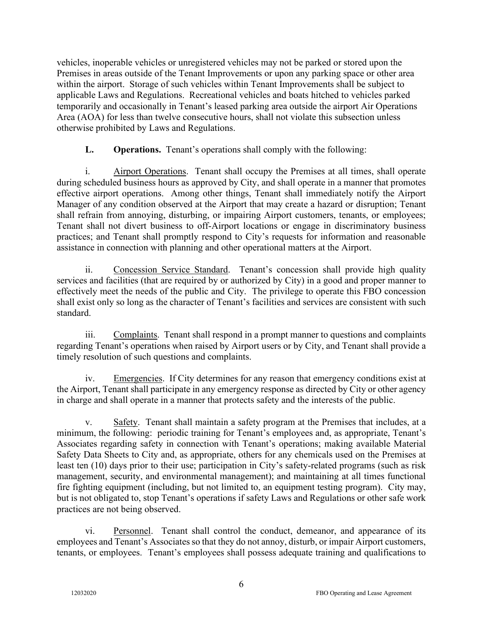vehicles, inoperable vehicles or unregistered vehicles may not be parked or stored upon the Premises in areas outside of the Tenant Improvements or upon any parking space or other area within the airport. Storage of such vehicles within Tenant Improvements shall be subject to applicable Laws and Regulations. Recreational vehicles and boats hitched to vehicles parked temporarily and occasionally in Tenant's leased parking area outside the airport Air Operations Area (AOA) for less than twelve consecutive hours, shall not violate this subsection unless otherwise prohibited by Laws and Regulations.

### **L. Operations.** Tenant's operations shall comply with the following:

i. Airport Operations. Tenant shall occupy the Premises at all times, shall operate during scheduled business hours as approved by City, and shall operate in a manner that promotes effective airport operations. Among other things, Tenant shall immediately notify the Airport Manager of any condition observed at the Airport that may create a hazard or disruption; Tenant shall refrain from annoying, disturbing, or impairing Airport customers, tenants, or employees; Tenant shall not divert business to off-Airport locations or engage in discriminatory business practices; and Tenant shall promptly respond to City's requests for information and reasonable assistance in connection with planning and other operational matters at the Airport.

ii. Concession Service Standard. Tenant's concession shall provide high quality services and facilities (that are required by or authorized by City) in a good and proper manner to effectively meet the needs of the public and City. The privilege to operate this FBO concession shall exist only so long as the character of Tenant's facilities and services are consistent with such standard.

iii. Complaints. Tenant shall respond in a prompt manner to questions and complaints regarding Tenant's operations when raised by Airport users or by City, and Tenant shall provide a timely resolution of such questions and complaints.

iv. Emergencies. If City determines for any reason that emergency conditions exist at the Airport, Tenant shall participate in any emergency response as directed by City or other agency in charge and shall operate in a manner that protects safety and the interests of the public.

v. Safety. Tenant shall maintain a safety program at the Premises that includes, at a minimum, the following: periodic training for Tenant's employees and, as appropriate, Tenant's Associates regarding safety in connection with Tenant's operations; making available Material Safety Data Sheets to City and, as appropriate, others for any chemicals used on the Premises at least ten (10) days prior to their use; participation in City's safety-related programs (such as risk management, security, and environmental management); and maintaining at all times functional fire fighting equipment (including, but not limited to, an equipment testing program). City may, but is not obligated to, stop Tenant's operations if safety Laws and Regulations or other safe work practices are not being observed.

vi. Personnel. Tenant shall control the conduct, demeanor, and appearance of its employees and Tenant's Associates so that they do not annoy, disturb, or impair Airport customers, tenants, or employees. Tenant's employees shall possess adequate training and qualifications to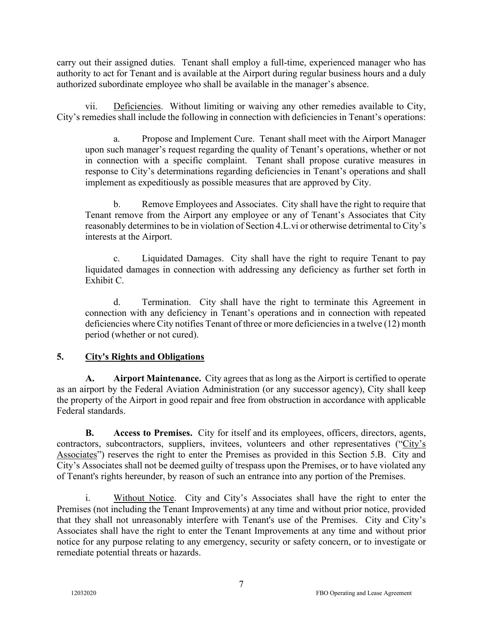carry out their assigned duties. Tenant shall employ a full-time, experienced manager who has authority to act for Tenant and is available at the Airport during regular business hours and a duly authorized subordinate employee who shall be available in the manager's absence.

vii. Deficiencies. Without limiting or waiving any other remedies available to City, City's remedies shall include the following in connection with deficiencies in Tenant's operations:

a. Propose and Implement Cure. Tenant shall meet with the Airport Manager upon such manager's request regarding the quality of Tenant's operations, whether or not in connection with a specific complaint. Tenant shall propose curative measures in response to City's determinations regarding deficiencies in Tenant's operations and shall implement as expeditiously as possible measures that are approved by City.

b. Remove Employees and Associates. City shall have the right to require that Tenant remove from the Airport any employee or any of Tenant's Associates that City reasonably determines to be in violation of Section 4.L.vi or otherwise detrimental to City's interests at the Airport.

c. Liquidated Damages. City shall have the right to require Tenant to pay liquidated damages in connection with addressing any deficiency as further set forth in Exhibit C.

d. Termination. City shall have the right to terminate this Agreement in connection with any deficiency in Tenant's operations and in connection with repeated deficiencies where City notifies Tenant of three or more deficiencies in a twelve (12) month period (whether or not cured).

# **5. City's Rights and Obligations**

**A. Airport Maintenance.** City agrees that as long as the Airport is certified to operate as an airport by the Federal Aviation Administration (or any successor agency), City shall keep the property of the Airport in good repair and free from obstruction in accordance with applicable Federal standards.

**B. Access to Premises.** City for itself and its employees, officers, directors, agents, contractors, subcontractors, suppliers, invitees, volunteers and other representatives ("City's Associates") reserves the right to enter the Premises as provided in this Section 5.B. City and City's Associates shall not be deemed guilty of trespass upon the Premises, or to have violated any of Tenant's rights hereunder, by reason of such an entrance into any portion of the Premises.

i. Without Notice. City and City's Associates shall have the right to enter the Premises (not including the Tenant Improvements) at any time and without prior notice, provided that they shall not unreasonably interfere with Tenant's use of the Premises. City and City's Associates shall have the right to enter the Tenant Improvements at any time and without prior notice for any purpose relating to any emergency, security or safety concern, or to investigate or remediate potential threats or hazards.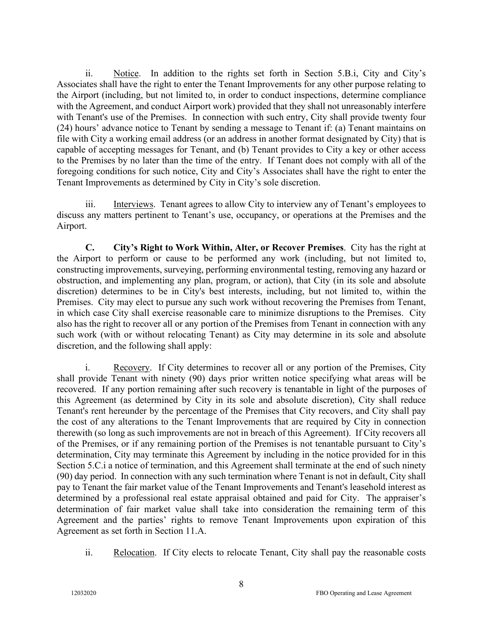ii. Notice. In addition to the rights set forth in Section 5.B.i, City and City's Associates shall have the right to enter the Tenant Improvements for any other purpose relating to the Airport (including, but not limited to, in order to conduct inspections, determine compliance with the Agreement, and conduct Airport work) provided that they shall not unreasonably interfere with Tenant's use of the Premises. In connection with such entry, City shall provide twenty four (24) hours' advance notice to Tenant by sending a message to Tenant if: (a) Tenant maintains on file with City a working email address (or an address in another format designated by City) that is capable of accepting messages for Tenant, and (b) Tenant provides to City a key or other access to the Premises by no later than the time of the entry. If Tenant does not comply with all of the foregoing conditions for such notice, City and City's Associates shall have the right to enter the Tenant Improvements as determined by City in City's sole discretion.

iii. Interviews. Tenant agrees to allow City to interview any of Tenant's employees to discuss any matters pertinent to Tenant's use, occupancy, or operations at the Premises and the Airport.

**C. City's Right to Work Within, Alter, or Recover Premises**. City has the right at the Airport to perform or cause to be performed any work (including, but not limited to, constructing improvements, surveying, performing environmental testing, removing any hazard or obstruction, and implementing any plan, program, or action), that City (in its sole and absolute discretion) determines to be in City's best interests, including, but not limited to, within the Premises. City may elect to pursue any such work without recovering the Premises from Tenant, in which case City shall exercise reasonable care to minimize disruptions to the Premises. City also has the right to recover all or any portion of the Premises from Tenant in connection with any such work (with or without relocating Tenant) as City may determine in its sole and absolute discretion, and the following shall apply:

i. Recovery. If City determines to recover all or any portion of the Premises, City shall provide Tenant with ninety (90) days prior written notice specifying what areas will be recovered. If any portion remaining after such recovery is tenantable in light of the purposes of this Agreement (as determined by City in its sole and absolute discretion), City shall reduce Tenant's rent hereunder by the percentage of the Premises that City recovers, and City shall pay the cost of any alterations to the Tenant Improvements that are required by City in connection therewith (so long as such improvements are not in breach of this Agreement). If City recovers all of the Premises, or if any remaining portion of the Premises is not tenantable pursuant to City's determination, City may terminate this Agreement by including in the notice provided for in this Section 5.C.i a notice of termination, and this Agreement shall terminate at the end of such ninety (90) day period. In connection with any such termination where Tenant is not in default, City shall pay to Tenant the fair market value of the Tenant Improvements and Tenant's leasehold interest as determined by a professional real estate appraisal obtained and paid for City. The appraiser's determination of fair market value shall take into consideration the remaining term of this Agreement and the parties' rights to remove Tenant Improvements upon expiration of this Agreement as set forth in Section 11.A.

ii. Relocation. If City elects to relocate Tenant, City shall pay the reasonable costs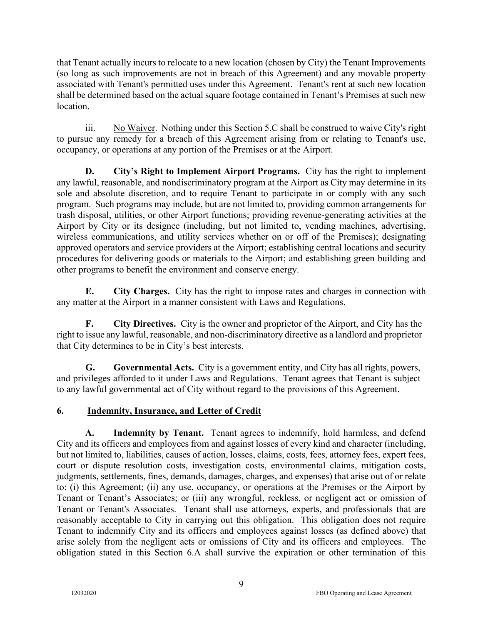that Tenant actually incurs to relocate to a new location (chosen by City) the Tenant Improvements (so long as such improvements are not in breach of this Agreement) and any movable property associated with Tenant's permitted uses under this Agreement. Tenant's rent at such new location shall be determined based on the actual square footage contained in Tenant's Premises at such new location.

iii. No Waiver. Nothing under this Section 5.C shall be construed to waive City's right to pursue any remedy for a breach of this Agreement arising from or relating to Tenant's use, occupancy, or operations at any portion of the Premises or at the Airport.

**D. City's Right to Implement Airport Programs.** City has the right to implement any lawful, reasonable, and nondiscriminatory program at the Airport as City may determine in its sole and absolute discretion, and to require Tenant to participate in or comply with any such program. Such programs may include, but are not limited to, providing common arrangements for trash disposal, utilities, or other Airport functions; providing revenue-generating activities at the Airport by City or its designee (including, but not limited to, vending machines, advertising, wireless communications, and utility services whether on or off of the Premises); designating approved operators and service providers at the Airport; establishing central locations and security procedures for delivering goods or materials to the Airport; and establishing green building and other programs to benefit the environment and conserve energy.

**E. City Charges.** City has the right to impose rates and charges in connection with any matter at the Airport in a manner consistent with Laws and Regulations.

**F. City Directives.** City is the owner and proprietor of the Airport, and City has the right to issue any lawful, reasonable, and non-discriminatory directive as a landlord and proprietor that City determines to be in City's best interests.

**G. Governmental Acts.** City is a government entity, and City has all rights, powers, and privileges afforded to it under Laws and Regulations. Tenant agrees that Tenant is subject to any lawful governmental act of City without regard to the provisions of this Agreement.

# **6. Indemnity, Insurance, and Letter of Credit**

**A. Indemnity by Tenant.** Tenant agrees to indemnify, hold harmless, and defend City and its officers and employees from and against losses of every kind and character (including, but not limited to, liabilities, causes of action, losses, claims, costs, fees, attorney fees, expert fees, court or dispute resolution costs, investigation costs, environmental claims, mitigation costs, judgments, settlements, fines, demands, damages, charges, and expenses) that arise out of or relate to: (i) this Agreement; (ii) any use, occupancy, or operations at the Premises or the Airport by Tenant or Tenant's Associates; or (iii) any wrongful, reckless, or negligent act or omission of Tenant or Tenant's Associates. Tenant shall use attorneys, experts, and professionals that are reasonably acceptable to City in carrying out this obligation. This obligation does not require Tenant to indemnify City and its officers and employees against losses (as defined above) that arise solely from the negligent acts or omissions of City and its officers and employees. The obligation stated in this Section 6.A shall survive the expiration or other termination of this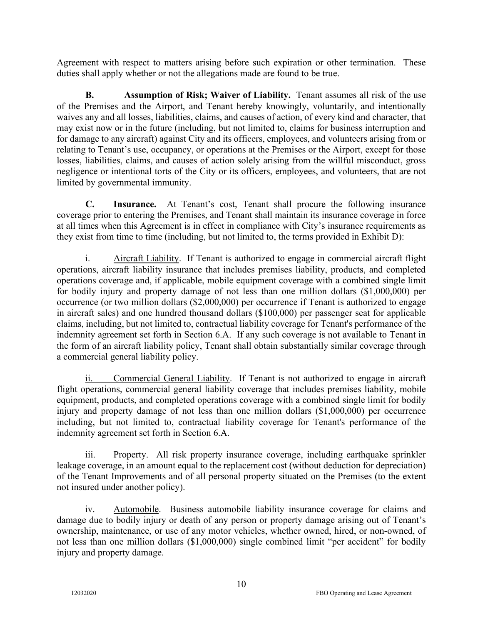Agreement with respect to matters arising before such expiration or other termination. These duties shall apply whether or not the allegations made are found to be true.

**B. Assumption of Risk; Waiver of Liability.** Tenant assumes all risk of the use of the Premises and the Airport, and Tenant hereby knowingly, voluntarily, and intentionally waives any and all losses, liabilities, claims, and causes of action, of every kind and character, that may exist now or in the future (including, but not limited to, claims for business interruption and for damage to any aircraft) against City and its officers, employees, and volunteers arising from or relating to Tenant's use, occupancy, or operations at the Premises or the Airport, except for those losses, liabilities, claims, and causes of action solely arising from the willful misconduct, gross negligence or intentional torts of the City or its officers, employees, and volunteers, that are not limited by governmental immunity.

**C. Insurance.** At Tenant's cost, Tenant shall procure the following insurance coverage prior to entering the Premises, and Tenant shall maintain its insurance coverage in force at all times when this Agreement is in effect in compliance with City's insurance requirements as they exist from time to time (including, but not limited to, the terms provided in Exhibit D):

i. Aircraft Liability. If Tenant is authorized to engage in commercial aircraft flight operations, aircraft liability insurance that includes premises liability, products, and completed operations coverage and, if applicable, mobile equipment coverage with a combined single limit for bodily injury and property damage of not less than one million dollars (\$1,000,000) per occurrence (or two million dollars (\$2,000,000) per occurrence if Tenant is authorized to engage in aircraft sales) and one hundred thousand dollars (\$100,000) per passenger seat for applicable claims, including, but not limited to, contractual liability coverage for Tenant's performance of the indemnity agreement set forth in Section 6.A. If any such coverage is not available to Tenant in the form of an aircraft liability policy, Tenant shall obtain substantially similar coverage through a commercial general liability policy.

ii. Commercial General Liability. If Tenant is not authorized to engage in aircraft flight operations, commercial general liability coverage that includes premises liability, mobile equipment, products, and completed operations coverage with a combined single limit for bodily injury and property damage of not less than one million dollars (\$1,000,000) per occurrence including, but not limited to, contractual liability coverage for Tenant's performance of the indemnity agreement set forth in Section 6.A.

iii. Property. All risk property insurance coverage, including earthquake sprinkler leakage coverage, in an amount equal to the replacement cost (without deduction for depreciation) of the Tenant Improvements and of all personal property situated on the Premises (to the extent not insured under another policy).

iv. Automobile. Business automobile liability insurance coverage for claims and damage due to bodily injury or death of any person or property damage arising out of Tenant's ownership, maintenance, or use of any motor vehicles, whether owned, hired, or non-owned, of not less than one million dollars (\$1,000,000) single combined limit "per accident" for bodily injury and property damage.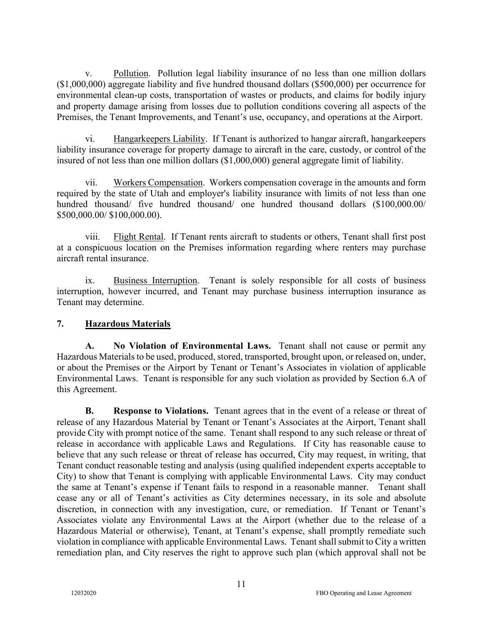v. Pollution. Pollution legal liability insurance of no less than one million dollars (\$1,000,000) aggregate liability and five hundred thousand dollars (\$500,000) per occurrence for environmental clean-up costs, transportation of wastes or products, and claims for bodily injury and property damage arising from losses due to pollution conditions covering all aspects of the Premises, the Tenant Improvements, and Tenant's use, occupancy, and operations at the Airport.

vi. Hangarkeepers Liability. If Tenant is authorized to hangar aircraft, hangarkeepers liability insurance coverage for property damage to aircraft in the care, custody, or control of the insured of not less than one million dollars (\$1,000,000) general aggregate limit of liability.

vii. Workers Compensation. Workers compensation coverage in the amounts and form required by the state of Utah and employer's liability insurance with limits of not less than one hundred thousand/ five hundred thousand/ one hundred thousand dollars (\$100,000.00/ \$500,000.00/ \$100,000.00).

viii. Flight Rental. If Tenant rents aircraft to students or others, Tenant shall first post at a conspicuous location on the Premises information regarding where renters may purchase aircraft rental insurance.

ix. Business Interruption. Tenant is solely responsible for all costs of business interruption, however incurred, and Tenant may purchase business interruption insurance as Tenant may determine.

### **7. Hazardous Materials**

**A. No Violation of Environmental Laws.** Tenant shall not cause or permit any Hazardous Materials to be used, produced, stored, transported, brought upon, or released on, under, or about the Premises or the Airport by Tenant or Tenant's Associates in violation of applicable Environmental Laws. Tenant is responsible for any such violation as provided by Section 6.A of this Agreement.

**B. Response to Violations.** Tenant agrees that in the event of a release or threat of release of any Hazardous Material by Tenant or Tenant's Associates at the Airport, Tenant shall provide City with prompt notice of the same. Tenant shall respond to any such release or threat of release in accordance with applicable Laws and Regulations. If City has reasonable cause to believe that any such release or threat of release has occurred, City may request, in writing, that Tenant conduct reasonable testing and analysis (using qualified independent experts acceptable to City) to show that Tenant is complying with applicable Environmental Laws. City may conduct the same at Tenant's expense if Tenant fails to respond in a reasonable manner. Tenant shall cease any or all of Tenant's activities as City determines necessary, in its sole and absolute discretion, in connection with any investigation, cure, or remediation. If Tenant or Tenant's Associates violate any Environmental Laws at the Airport (whether due to the release of a Hazardous Material or otherwise), Tenant, at Tenant's expense, shall promptly remediate such violation in compliance with applicable Environmental Laws. Tenant shall submit to City a written remediation plan, and City reserves the right to approve such plan (which approval shall not be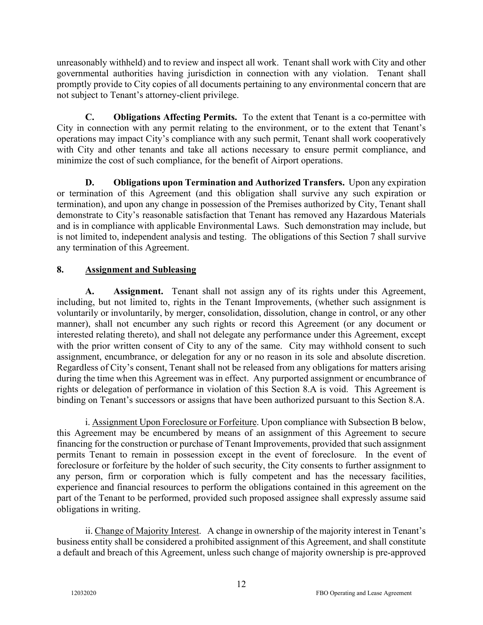unreasonably withheld) and to review and inspect all work. Tenant shall work with City and other governmental authorities having jurisdiction in connection with any violation. Tenant shall promptly provide to City copies of all documents pertaining to any environmental concern that are not subject to Tenant's attorney-client privilege.

**C. Obligations Affecting Permits.** To the extent that Tenant is a co-permittee with City in connection with any permit relating to the environment, or to the extent that Tenant's operations may impact City's compliance with any such permit, Tenant shall work cooperatively with City and other tenants and take all actions necessary to ensure permit compliance, and minimize the cost of such compliance, for the benefit of Airport operations.

**D. Obligations upon Termination and Authorized Transfers.** Upon any expiration or termination of this Agreement (and this obligation shall survive any such expiration or termination), and upon any change in possession of the Premises authorized by City, Tenant shall demonstrate to City's reasonable satisfaction that Tenant has removed any Hazardous Materials and is in compliance with applicable Environmental Laws. Such demonstration may include, but is not limited to, independent analysis and testing. The obligations of this Section 7 shall survive any termination of this Agreement.

# **8. Assignment and Subleasing**

**A. Assignment.** Tenant shall not assign any of its rights under this Agreement, including, but not limited to, rights in the Tenant Improvements, (whether such assignment is voluntarily or involuntarily, by merger, consolidation, dissolution, change in control, or any other manner), shall not encumber any such rights or record this Agreement (or any document or interested relating thereto), and shall not delegate any performance under this Agreement, except with the prior written consent of City to any of the same. City may withhold consent to such assignment, encumbrance, or delegation for any or no reason in its sole and absolute discretion. Regardless of City's consent, Tenant shall not be released from any obligations for matters arising during the time when this Agreement was in effect. Any purported assignment or encumbrance of rights or delegation of performance in violation of this Section 8.A is void. This Agreement is binding on Tenant's successors or assigns that have been authorized pursuant to this Section 8.A.

i. Assignment Upon Foreclosure or Forfeiture. Upon compliance with Subsection B below, this Agreement may be encumbered by means of an assignment of this Agreement to secure financing for the construction or purchase of Tenant Improvements, provided that such assignment permits Tenant to remain in possession except in the event of foreclosure. In the event of foreclosure or forfeiture by the holder of such security, the City consents to further assignment to any person, firm or corporation which is fully competent and has the necessary facilities, experience and financial resources to perform the obligations contained in this agreement on the part of the Tenant to be performed, provided such proposed assignee shall expressly assume said obligations in writing.

ii. Change of Majority Interest. A change in ownership of the majority interest in Tenant's business entity shall be considered a prohibited assignment of this Agreement, and shall constitute a default and breach of this Agreement, unless such change of majority ownership is pre-approved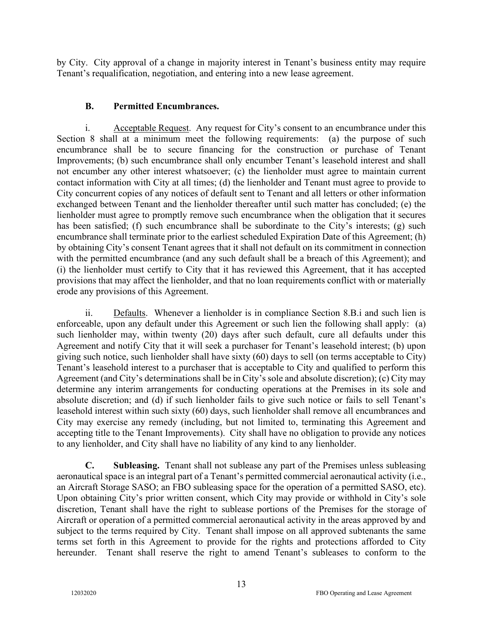by City. City approval of a change in majority interest in Tenant's business entity may require Tenant's requalification, negotiation, and entering into a new lease agreement.

### **B. Permitted Encumbrances.**

i. Acceptable Request. Any request for City's consent to an encumbrance under this Section 8 shall at a minimum meet the following requirements: (a) the purpose of such encumbrance shall be to secure financing for the construction or purchase of Tenant Improvements; (b) such encumbrance shall only encumber Tenant's leasehold interest and shall not encumber any other interest whatsoever; (c) the lienholder must agree to maintain current contact information with City at all times; (d) the lienholder and Tenant must agree to provide to City concurrent copies of any notices of default sent to Tenant and all letters or other information exchanged between Tenant and the lienholder thereafter until such matter has concluded; (e) the lienholder must agree to promptly remove such encumbrance when the obligation that it secures has been satisfied; (f) such encumbrance shall be subordinate to the City's interests; (g) such encumbrance shall terminate prior to the earliest scheduled Expiration Date of this Agreement; (h) by obtaining City's consent Tenant agrees that it shall not default on its commitment in connection with the permitted encumbrance (and any such default shall be a breach of this Agreement); and (i) the lienholder must certify to City that it has reviewed this Agreement, that it has accepted provisions that may affect the lienholder, and that no loan requirements conflict with or materially erode any provisions of this Agreement.

ii. Defaults. Whenever a lienholder is in compliance Section 8.B.i and such lien is enforceable, upon any default under this Agreement or such lien the following shall apply: (a) such lienholder may, within twenty (20) days after such default, cure all defaults under this Agreement and notify City that it will seek a purchaser for Tenant's leasehold interest; (b) upon giving such notice, such lienholder shall have sixty (60) days to sell (on terms acceptable to City) Tenant's leasehold interest to a purchaser that is acceptable to City and qualified to perform this Agreement (and City's determinations shall be in City's sole and absolute discretion); (c) City may determine any interim arrangements for conducting operations at the Premises in its sole and absolute discretion; and (d) if such lienholder fails to give such notice or fails to sell Tenant's leasehold interest within such sixty (60) days, such lienholder shall remove all encumbrances and City may exercise any remedy (including, but not limited to, terminating this Agreement and accepting title to the Tenant Improvements). City shall have no obligation to provide any notices to any lienholder, and City shall have no liability of any kind to any lienholder.

**C. Subleasing.** Tenant shall not sublease any part of the Premises unless subleasing aeronautical space is an integral part of a Tenant's permitted commercial aeronautical activity (i.e., an Aircraft Storage SASO; an FBO subleasing space for the operation of a permitted SASO, etc). Upon obtaining City's prior written consent, which City may provide or withhold in City's sole discretion, Tenant shall have the right to sublease portions of the Premises for the storage of Aircraft or operation of a permitted commercial aeronautical activity in the areas approved by and subject to the terms required by City. Tenant shall impose on all approved subtenants the same terms set forth in this Agreement to provide for the rights and protections afforded to City hereunder. Tenant shall reserve the right to amend Tenant's subleases to conform to the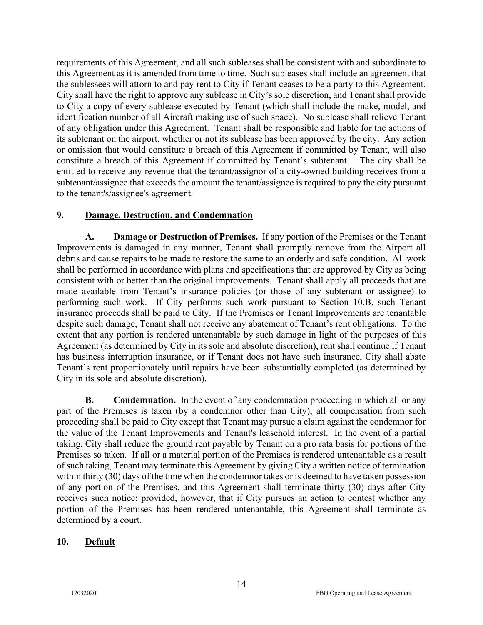requirements of this Agreement, and all such subleases shall be consistent with and subordinate to this Agreement as it is amended from time to time. Such subleases shall include an agreement that the sublessees will attorn to and pay rent to City if Tenant ceases to be a party to this Agreement. City shall have the right to approve any sublease in City's sole discretion, and Tenant shall provide to City a copy of every sublease executed by Tenant (which shall include the make, model, and identification number of all Aircraft making use of such space). No sublease shall relieve Tenant of any obligation under this Agreement. Tenant shall be responsible and liable for the actions of its subtenant on the airport, whether or not its sublease has been approved by the city. Any action or omission that would constitute a breach of this Agreement if committed by Tenant, will also constitute a breach of this Agreement if committed by Tenant's subtenant. The city shall be entitled to receive any revenue that the tenant/assignor of a city-owned building receives from a subtenant/assignee that exceeds the amount the tenant/assignee is required to pay the city pursuant to the tenant's/assignee's agreement.

### **9. Damage, Destruction, and Condemnation**

**A. Damage or Destruction of Premises.** If any portion of the Premises or the Tenant Improvements is damaged in any manner, Tenant shall promptly remove from the Airport all debris and cause repairs to be made to restore the same to an orderly and safe condition. All work shall be performed in accordance with plans and specifications that are approved by City as being consistent with or better than the original improvements. Tenant shall apply all proceeds that are made available from Tenant's insurance policies (or those of any subtenant or assignee) to performing such work. If City performs such work pursuant to Section 10.B, such Tenant insurance proceeds shall be paid to City. If the Premises or Tenant Improvements are tenantable despite such damage, Tenant shall not receive any abatement of Tenant's rent obligations. To the extent that any portion is rendered untenantable by such damage in light of the purposes of this Agreement (as determined by City in its sole and absolute discretion), rent shall continue if Tenant has business interruption insurance, or if Tenant does not have such insurance, City shall abate Tenant's rent proportionately until repairs have been substantially completed (as determined by City in its sole and absolute discretion).

**B.** Condemnation. In the event of any condemnation proceeding in which all or any part of the Premises is taken (by a condemnor other than City), all compensation from such proceeding shall be paid to City except that Tenant may pursue a claim against the condemnor for the value of the Tenant Improvements and Tenant's leasehold interest. In the event of a partial taking, City shall reduce the ground rent payable by Tenant on a pro rata basis for portions of the Premises so taken. If all or a material portion of the Premises is rendered untenantable as a result of such taking, Tenant may terminate this Agreement by giving City a written notice of termination within thirty (30) days of the time when the condemnor takes or is deemed to have taken possession of any portion of the Premises, and this Agreement shall terminate thirty (30) days after City receives such notice; provided, however, that if City pursues an action to contest whether any portion of the Premises has been rendered untenantable, this Agreement shall terminate as determined by a court.

#### **10. Default**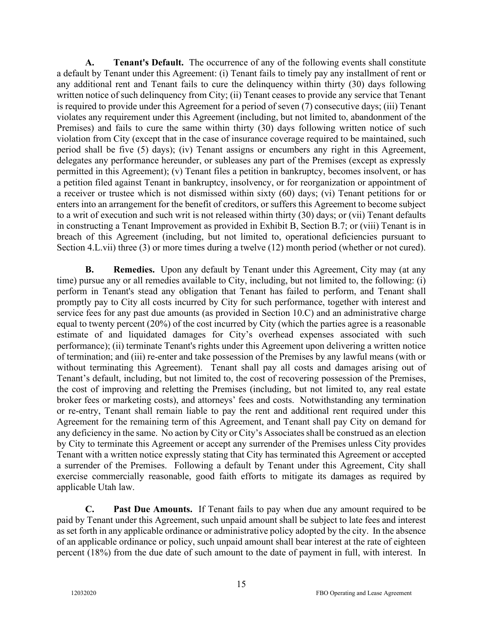**A. Tenant's Default.** The occurrence of any of the following events shall constitute a default by Tenant under this Agreement: (i) Tenant fails to timely pay any installment of rent or any additional rent and Tenant fails to cure the delinquency within thirty (30) days following written notice of such delinquency from City; (ii) Tenant ceases to provide any service that Tenant is required to provide under this Agreement for a period of seven (7) consecutive days; (iii) Tenant violates any requirement under this Agreement (including, but not limited to, abandonment of the Premises) and fails to cure the same within thirty (30) days following written notice of such violation from City (except that in the case of insurance coverage required to be maintained, such period shall be five (5) days); (iv) Tenant assigns or encumbers any right in this Agreement, delegates any performance hereunder, or subleases any part of the Premises (except as expressly permitted in this Agreement); (v) Tenant files a petition in bankruptcy, becomes insolvent, or has a petition filed against Tenant in bankruptcy, insolvency, or for reorganization or appointment of a receiver or trustee which is not dismissed within sixty (60) days; (vi) Tenant petitions for or enters into an arrangement for the benefit of creditors, or suffers this Agreement to become subject to a writ of execution and such writ is not released within thirty (30) days; or (vii) Tenant defaults in constructing a Tenant Improvement as provided in Exhibit B, Section B.7; or (viii) Tenant is in breach of this Agreement (including, but not limited to, operational deficiencies pursuant to Section 4.L.vii) three (3) or more times during a twelve (12) month period (whether or not cured).

**B.** Remedies. Upon any default by Tenant under this Agreement, City may (at any time) pursue any or all remedies available to City, including, but not limited to, the following: (i) perform in Tenant's stead any obligation that Tenant has failed to perform, and Tenant shall promptly pay to City all costs incurred by City for such performance, together with interest and service fees for any past due amounts (as provided in Section 10.C) and an administrative charge equal to twenty percent (20%) of the cost incurred by City (which the parties agree is a reasonable estimate of and liquidated damages for City's overhead expenses associated with such performance); (ii) terminate Tenant's rights under this Agreement upon delivering a written notice of termination; and (iii) re-enter and take possession of the Premises by any lawful means (with or without terminating this Agreement). Tenant shall pay all costs and damages arising out of Tenant's default, including, but not limited to, the cost of recovering possession of the Premises, the cost of improving and reletting the Premises (including, but not limited to, any real estate broker fees or marketing costs), and attorneys' fees and costs. Notwithstanding any termination or re-entry, Tenant shall remain liable to pay the rent and additional rent required under this Agreement for the remaining term of this Agreement, and Tenant shall pay City on demand for any deficiency in the same. No action by City or City's Associates shall be construed as an election by City to terminate this Agreement or accept any surrender of the Premises unless City provides Tenant with a written notice expressly stating that City has terminated this Agreement or accepted a surrender of the Premises. Following a default by Tenant under this Agreement, City shall exercise commercially reasonable, good faith efforts to mitigate its damages as required by applicable Utah law.

**C. Past Due Amounts.** If Tenant fails to pay when due any amount required to be paid by Tenant under this Agreement, such unpaid amount shall be subject to late fees and interest as set forth in any applicable ordinance or administrative policy adopted by the city. In the absence of an applicable ordinance or policy, such unpaid amount shall bear interest at the rate of eighteen percent (18%) from the due date of such amount to the date of payment in full, with interest. In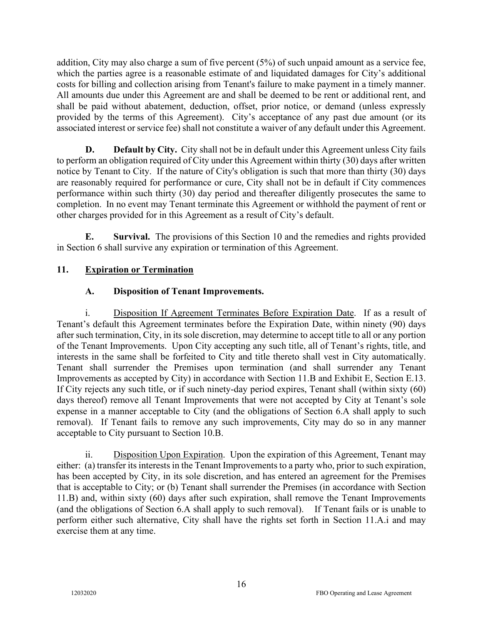addition, City may also charge a sum of five percent (5%) of such unpaid amount as a service fee, which the parties agree is a reasonable estimate of and liquidated damages for City's additional costs for billing and collection arising from Tenant's failure to make payment in a timely manner. All amounts due under this Agreement are and shall be deemed to be rent or additional rent, and shall be paid without abatement, deduction, offset, prior notice, or demand (unless expressly provided by the terms of this Agreement). City's acceptance of any past due amount (or its associated interest or service fee) shall not constitute a waiver of any default under this Agreement.

**D. Default by City.** City shall not be in default under this Agreement unless City fails to perform an obligation required of City under this Agreement within thirty (30) days after written notice by Tenant to City. If the nature of City's obligation is such that more than thirty (30) days are reasonably required for performance or cure, City shall not be in default if City commences performance within such thirty (30) day period and thereafter diligently prosecutes the same to completion. In no event may Tenant terminate this Agreement or withhold the payment of rent or other charges provided for in this Agreement as a result of City's default.

**E. Survival.** The provisions of this Section 10 and the remedies and rights provided in Section 6 shall survive any expiration or termination of this Agreement.

## **11. Expiration or Termination**

## **A. Disposition of Tenant Improvements.**

i. Disposition If Agreement Terminates Before Expiration Date. If as a result of Tenant's default this Agreement terminates before the Expiration Date, within ninety (90) days after such termination, City, in its sole discretion, may determine to accept title to all or any portion of the Tenant Improvements. Upon City accepting any such title, all of Tenant's rights, title, and interests in the same shall be forfeited to City and title thereto shall vest in City automatically. Tenant shall surrender the Premises upon termination (and shall surrender any Tenant Improvements as accepted by City) in accordance with Section 11.B and Exhibit E, Section E.13. If City rejects any such title, or if such ninety-day period expires, Tenant shall (within sixty (60) days thereof) remove all Tenant Improvements that were not accepted by City at Tenant's sole expense in a manner acceptable to City (and the obligations of Section 6.A shall apply to such removal). If Tenant fails to remove any such improvements, City may do so in any manner acceptable to City pursuant to Section 10.B.

ii. Disposition Upon Expiration. Upon the expiration of this Agreement, Tenant may either: (a) transfer its interests in the Tenant Improvements to a party who, prior to such expiration, has been accepted by City, in its sole discretion, and has entered an agreement for the Premises that is acceptable to City; or (b) Tenant shall surrender the Premises (in accordance with Section 11.B) and, within sixty (60) days after such expiration, shall remove the Tenant Improvements (and the obligations of Section 6.A shall apply to such removal). If Tenant fails or is unable to perform either such alternative, City shall have the rights set forth in Section 11.A.i and may exercise them at any time.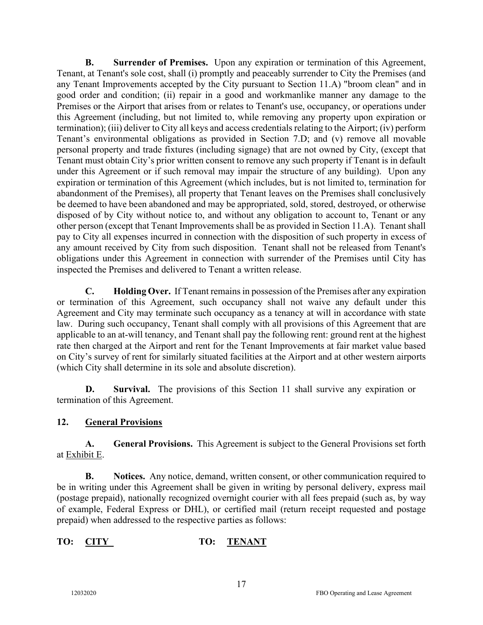**B. Surrender of Premises.** Upon any expiration or termination of this Agreement, Tenant, at Tenant's sole cost, shall (i) promptly and peaceably surrender to City the Premises (and any Tenant Improvements accepted by the City pursuant to Section 11.A) "broom clean" and in good order and condition; (ii) repair in a good and workmanlike manner any damage to the Premises or the Airport that arises from or relates to Tenant's use, occupancy, or operations under this Agreement (including, but not limited to, while removing any property upon expiration or termination); (iii) deliver to City all keys and access credentials relating to the Airport; (iv) perform Tenant's environmental obligations as provided in Section 7.D; and (v) remove all movable personal property and trade fixtures (including signage) that are not owned by City, (except that Tenant must obtain City's prior written consent to remove any such property if Tenant is in default under this Agreement or if such removal may impair the structure of any building). Upon any expiration or termination of this Agreement (which includes, but is not limited to, termination for abandonment of the Premises), all property that Tenant leaves on the Premises shall conclusively be deemed to have been abandoned and may be appropriated, sold, stored, destroyed, or otherwise disposed of by City without notice to, and without any obligation to account to, Tenant or any other person (except that Tenant Improvements shall be as provided in Section 11.A). Tenant shall pay to City all expenses incurred in connection with the disposition of such property in excess of any amount received by City from such disposition. Tenant shall not be released from Tenant's obligations under this Agreement in connection with surrender of the Premises until City has inspected the Premises and delivered to Tenant a written release.

**C. Holding Over.** If Tenant remains in possession of the Premises after any expiration or termination of this Agreement, such occupancy shall not waive any default under this Agreement and City may terminate such occupancy as a tenancy at will in accordance with state law. During such occupancy, Tenant shall comply with all provisions of this Agreement that are applicable to an at-will tenancy, and Tenant shall pay the following rent: ground rent at the highest rate then charged at the Airport and rent for the Tenant Improvements at fair market value based on City's survey of rent for similarly situated facilities at the Airport and at other western airports (which City shall determine in its sole and absolute discretion).

**D. Survival.** The provisions of this Section 11 shall survive any expiration or termination of this Agreement.

# **12. General Provisions**

**A. General Provisions.** This Agreement is subject to the General Provisions set forth at Exhibit E.

**B. Notices.** Any notice, demand, written consent, or other communication required to be in writing under this Agreement shall be given in writing by personal delivery, express mail (postage prepaid), nationally recognized overnight courier with all fees prepaid (such as, by way of example, Federal Express or DHL), or certified mail (return receipt requested and postage prepaid) when addressed to the respective parties as follows:

# **TO: CITY TO: TENANT**

17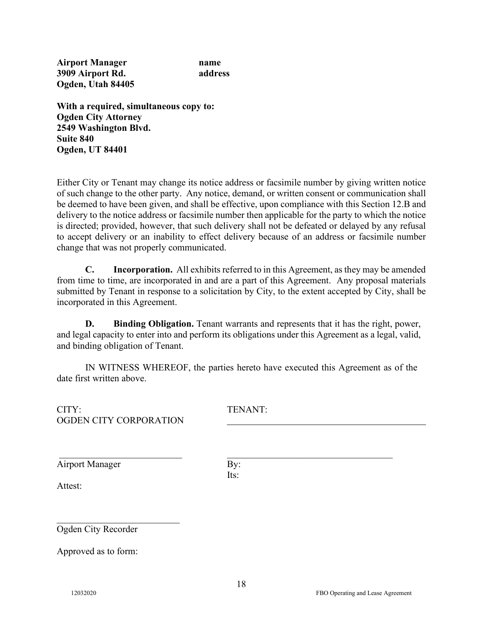**Airport Manager name 3909 Airport Rd. address Ogden, Utah 84405**

**With a required, simultaneous copy to: Ogden City Attorney 2549 Washington Blvd. Suite 840 Ogden, UT 84401**

Either City or Tenant may change its notice address or facsimile number by giving written notice of such change to the other party. Any notice, demand, or written consent or communication shall be deemed to have been given, and shall be effective, upon compliance with this Section 12.B and delivery to the notice address or facsimile number then applicable for the party to which the notice is directed; provided, however, that such delivery shall not be defeated or delayed by any refusal to accept delivery or an inability to effect delivery because of an address or facsimile number change that was not properly communicated.

**C. Incorporation.** All exhibits referred to in this Agreement, as they may be amended from time to time, are incorporated in and are a part of this Agreement. Any proposal materials submitted by Tenant in response to a solicitation by City, to the extent accepted by City, shall be incorporated in this Agreement.

**D. Binding Obligation.** Tenant warrants and represents that it has the right, power, and legal capacity to enter into and perform its obligations under this Agreement as a legal, valid, and binding obligation of Tenant.

IN WITNESS WHEREOF, the parties hereto have executed this Agreement as of the date first written above.

| CITY:<br>OGDEN CITY CORPORATION   | TENANT:     |
|-----------------------------------|-------------|
| <b>Airport Manager</b><br>Attest: | By:<br>Its: |
| Ogden City Recorder               |             |

Approved as to form: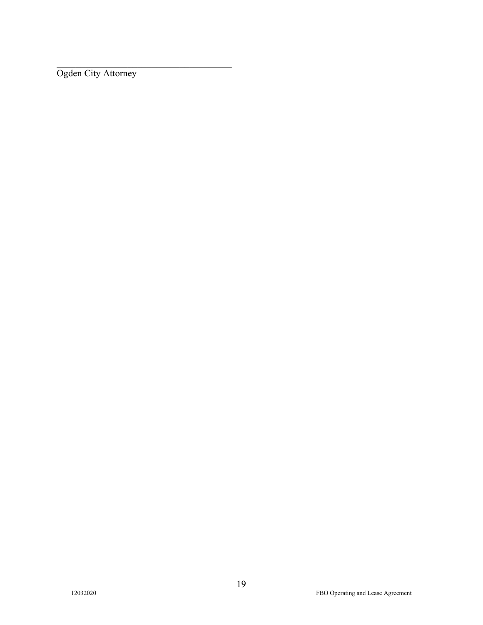Ogden City Attorney

\_\_\_\_\_\_\_\_\_\_\_\_\_\_\_\_\_\_\_\_\_\_\_\_\_\_\_\_\_\_\_\_\_\_\_\_\_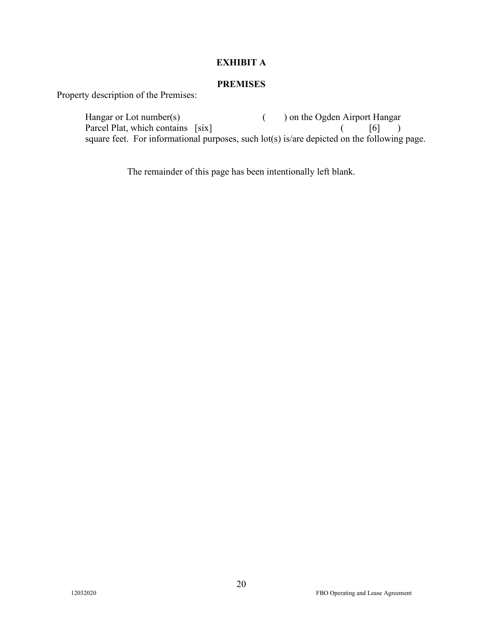### **EXHIBIT A**

### **PREMISES**

Property description of the Premises:

Hangar or Lot number(s) ( ) on the Ogden Airport Hangar Parcel Plat, which contains [six] ( [6] ) square feet. For informational purposes, such lot(s) is/are depicted on the following page.

The remainder of this page has been intentionally left blank.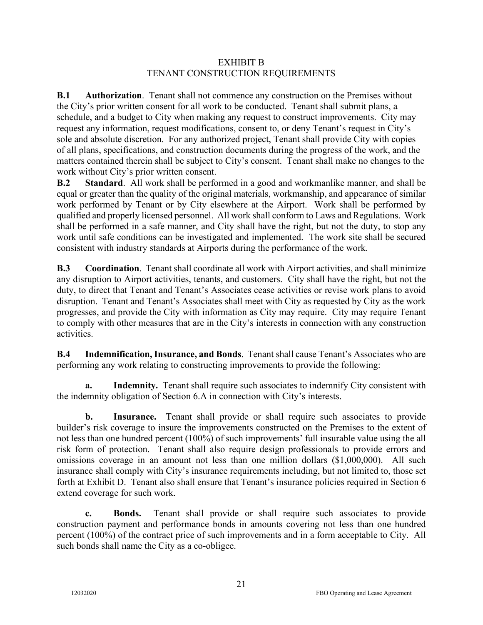#### EXHIBIT B TENANT CONSTRUCTION REQUIREMENTS

**B.1 Authorization**. Tenant shall not commence any construction on the Premises without the City's prior written consent for all work to be conducted. Tenant shall submit plans, a schedule, and a budget to City when making any request to construct improvements. City may request any information, request modifications, consent to, or deny Tenant's request in City's sole and absolute discretion. For any authorized project, Tenant shall provide City with copies of all plans, specifications, and construction documents during the progress of the work, and the matters contained therein shall be subject to City's consent. Tenant shall make no changes to the work without City's prior written consent.

**B.2 Standard**. All work shall be performed in a good and workmanlike manner, and shall be equal or greater than the quality of the original materials, workmanship, and appearance of similar work performed by Tenant or by City elsewhere at the Airport. Work shall be performed by qualified and properly licensed personnel. All work shall conform to Laws and Regulations. Work shall be performed in a safe manner, and City shall have the right, but not the duty, to stop any work until safe conditions can be investigated and implemented. The work site shall be secured consistent with industry standards at Airports during the performance of the work.

**B.3 Coordination**. Tenant shall coordinate all work with Airport activities, and shall minimize any disruption to Airport activities, tenants, and customers. City shall have the right, but not the duty, to direct that Tenant and Tenant's Associates cease activities or revise work plans to avoid disruption. Tenant and Tenant's Associates shall meet with City as requested by City as the work progresses, and provide the City with information as City may require. City may require Tenant to comply with other measures that are in the City's interests in connection with any construction activities.

**B.4 Indemnification, Insurance, and Bonds**. Tenant shall cause Tenant's Associates who are performing any work relating to constructing improvements to provide the following:

**a. Indemnity.** Tenant shall require such associates to indemnify City consistent with the indemnity obligation of Section 6.A in connection with City's interests.

**b. Insurance.** Tenant shall provide or shall require such associates to provide builder's risk coverage to insure the improvements constructed on the Premises to the extent of not less than one hundred percent (100%) of such improvements' full insurable value using the all risk form of protection. Tenant shall also require design professionals to provide errors and omissions coverage in an amount not less than one million dollars (\$1,000,000). All such insurance shall comply with City's insurance requirements including, but not limited to, those set forth at Exhibit D. Tenant also shall ensure that Tenant's insurance policies required in Section 6 extend coverage for such work.

**c. Bonds.** Tenant shall provide or shall require such associates to provide construction payment and performance bonds in amounts covering not less than one hundred percent (100%) of the contract price of such improvements and in a form acceptable to City. All such bonds shall name the City as a co-obligee.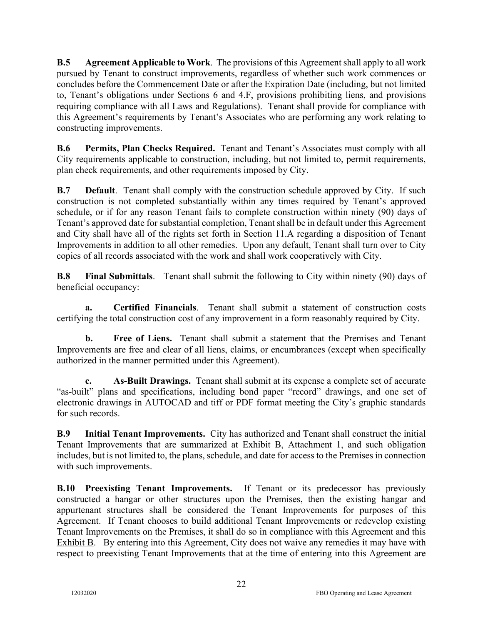**B.5 Agreement Applicable to Work**. The provisions of this Agreement shall apply to all work pursued by Tenant to construct improvements, regardless of whether such work commences or concludes before the Commencement Date or after the Expiration Date (including, but not limited to, Tenant's obligations under Sections 6 and 4.F, provisions prohibiting liens, and provisions requiring compliance with all Laws and Regulations). Tenant shall provide for compliance with this Agreement's requirements by Tenant's Associates who are performing any work relating to constructing improvements.

**B.6 Permits, Plan Checks Required.** Tenant and Tenant's Associates must comply with all City requirements applicable to construction, including, but not limited to, permit requirements, plan check requirements, and other requirements imposed by City.

**B.7 Default**. Tenant shall comply with the construction schedule approved by City. If such construction is not completed substantially within any times required by Tenant's approved schedule, or if for any reason Tenant fails to complete construction within ninety (90) days of Tenant's approved date for substantial completion, Tenant shall be in default under this Agreement and City shall have all of the rights set forth in Section 11.A regarding a disposition of Tenant Improvements in addition to all other remedies. Upon any default, Tenant shall turn over to City copies of all records associated with the work and shall work cooperatively with City.

**B.8 Final Submittals**. Tenant shall submit the following to City within ninety (90) days of beneficial occupancy:

**a. Certified Financials**. Tenant shall submit a statement of construction costs certifying the total construction cost of any improvement in a form reasonably required by City.

**b. Free of Liens.** Tenant shall submit a statement that the Premises and Tenant Improvements are free and clear of all liens, claims, or encumbrances (except when specifically authorized in the manner permitted under this Agreement).

**c. As-Built Drawings.** Tenant shall submit at its expense a complete set of accurate "as-built" plans and specifications, including bond paper "record" drawings, and one set of electronic drawings in AUTOCAD and tiff or PDF format meeting the City's graphic standards for such records.

**B.9 Initial Tenant Improvements.** City has authorized and Tenant shall construct the initial Tenant Improvements that are summarized at Exhibit B, Attachment 1, and such obligation includes, but is not limited to, the plans, schedule, and date for access to the Premises in connection with such improvements.

**B.10 Preexisting Tenant Improvements.** If Tenant or its predecessor has previously constructed a hangar or other structures upon the Premises, then the existing hangar and appurtenant structures shall be considered the Tenant Improvements for purposes of this Agreement. If Tenant chooses to build additional Tenant Improvements or redevelop existing Tenant Improvements on the Premises, it shall do so in compliance with this Agreement and this Exhibit B. By entering into this Agreement, City does not waive any remedies it may have with respect to preexisting Tenant Improvements that at the time of entering into this Agreement are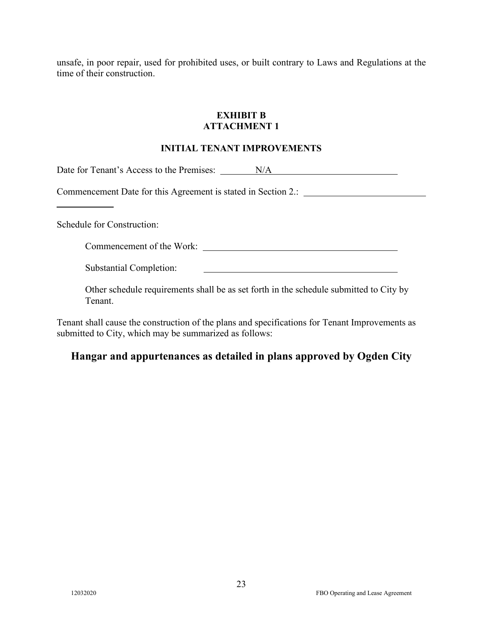unsafe, in poor repair, used for prohibited uses, or built contrary to Laws and Regulations at the time of their construction.

### **EXHIBIT B ATTACHMENT 1**

#### **INITIAL TENANT IMPROVEMENTS**

Date for Tenant's Access to the Premises: N/A

Commencement Date for this Agreement is stated in Section 2.:

Schedule for Construction:

Commencement of the Work:

Substantial Completion:

Other schedule requirements shall be as set forth in the schedule submitted to City by Tenant.

<u> 1980 - Johann Barn, mars ann an t-Amhain Aonaich an t-Aonaich an t-Aonaich ann an t-Aonaich ann an t-Aonaich</u>

Tenant shall cause the construction of the plans and specifications for Tenant Improvements as submitted to City, which may be summarized as follows:

# **Hangar and appurtenances as detailed in plans approved by Ogden City**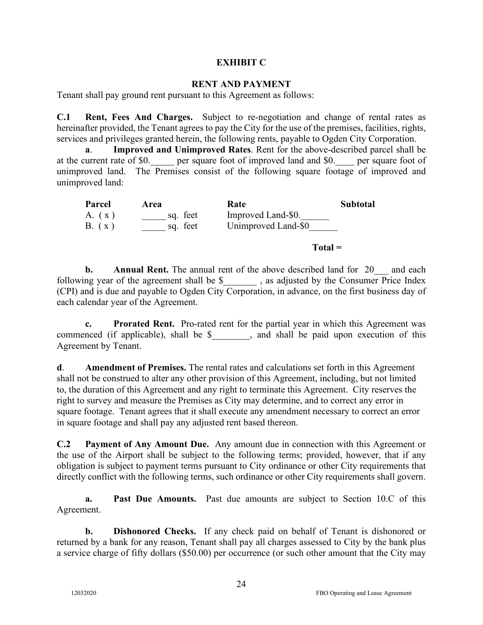#### **EXHIBIT C**

#### **RENT AND PAYMENT**

Tenant shall pay ground rent pursuant to this Agreement as follows:

**C.1 Rent, Fees And Charges.** Subject to re-negotiation and change of rental rates as hereinafter provided, the Tenant agrees to pay the City for the use of the premises, facilities, rights, services and privileges granted herein, the following rents, payable to Ogden City Corporation.

**a**. **Improved and Unimproved Rates**. Rent for the above-described parcel shall be at the current rate of \$0. \_\_\_\_ per square foot of improved land and \$0. \_\_\_\_ per square foot of unimproved land. The Premises consist of the following square footage of improved and unimproved land:

| Parcel | Area     | Rate                | <b>Subtotal</b> |
|--------|----------|---------------------|-----------------|
| A. (x) | sq. feet | Improved Land-\$0.  |                 |
| B. (x) | sq. feet | Unimproved Land-\$0 |                 |

**Total =**

**b. Annual Rent.** The annual rent of the above described land for 20 and each following year of the agreement shall be \$ \_\_\_\_\_\_\_, as adjusted by the Consumer Price Index (CPI) and is due and payable to Ogden City Corporation, in advance, on the first business day of each calendar year of the Agreement.

**c. Prorated Rent.** Pro-rated rent for the partial year in which this Agreement was commenced (if applicable), shall be \$, and shall be paid upon execution of this Agreement by Tenant.

**d**. **Amendment of Premises.** The rental rates and calculations set forth in this Agreement shall not be construed to alter any other provision of this Agreement, including, but not limited to, the duration of this Agreement and any right to terminate this Agreement. City reserves the right to survey and measure the Premises as City may determine, and to correct any error in square footage. Tenant agrees that it shall execute any amendment necessary to correct an error in square footage and shall pay any adjusted rent based thereon.

**C.2 Payment of Any Amount Due.** Any amount due in connection with this Agreement or the use of the Airport shall be subject to the following terms; provided, however, that if any obligation is subject to payment terms pursuant to City ordinance or other City requirements that directly conflict with the following terms, such ordinance or other City requirements shall govern.

**a. Past Due Amounts.** Past due amounts are subject to Section 10.C of this Agreement.

**b. Dishonored Checks.** If any check paid on behalf of Tenant is dishonored or returned by a bank for any reason, Tenant shall pay all charges assessed to City by the bank plus a service charge of fifty dollars (\$50.00) per occurrence (or such other amount that the City may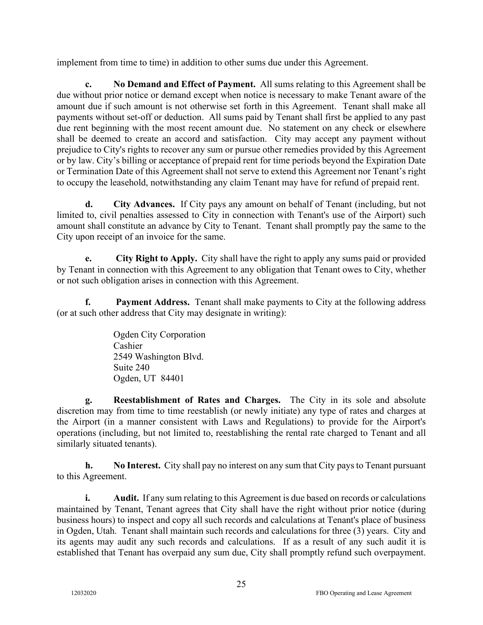implement from time to time) in addition to other sums due under this Agreement.

**c. No Demand and Effect of Payment.** All sums relating to this Agreement shall be due without prior notice or demand except when notice is necessary to make Tenant aware of the amount due if such amount is not otherwise set forth in this Agreement. Tenant shall make all payments without set-off or deduction. All sums paid by Tenant shall first be applied to any past due rent beginning with the most recent amount due. No statement on any check or elsewhere shall be deemed to create an accord and satisfaction. City may accept any payment without prejudice to City's rights to recover any sum or pursue other remedies provided by this Agreement or by law. City's billing or acceptance of prepaid rent for time periods beyond the Expiration Date or Termination Date of this Agreement shall not serve to extend this Agreement nor Tenant's right to occupy the leasehold, notwithstanding any claim Tenant may have for refund of prepaid rent.

**d. City Advances.** If City pays any amount on behalf of Tenant (including, but not limited to, civil penalties assessed to City in connection with Tenant's use of the Airport) such amount shall constitute an advance by City to Tenant. Tenant shall promptly pay the same to the City upon receipt of an invoice for the same.

**e. City Right to Apply.** City shall have the right to apply any sums paid or provided by Tenant in connection with this Agreement to any obligation that Tenant owes to City, whether or not such obligation arises in connection with this Agreement.

**f. Payment Address.** Tenant shall make payments to City at the following address (or at such other address that City may designate in writing):

> Ogden City Corporation Cashier 2549 Washington Blvd. Suite 240 Ogden, UT 84401

**g. Reestablishment of Rates and Charges.** The City in its sole and absolute discretion may from time to time reestablish (or newly initiate) any type of rates and charges at the Airport (in a manner consistent with Laws and Regulations) to provide for the Airport's operations (including, but not limited to, reestablishing the rental rate charged to Tenant and all similarly situated tenants).

**h. No Interest.** City shall pay no interest on any sum that City pays to Tenant pursuant to this Agreement.

**i.** Audit. If any sum relating to this Agreement is due based on records or calculations maintained by Tenant, Tenant agrees that City shall have the right without prior notice (during business hours) to inspect and copy all such records and calculations at Tenant's place of business in Ogden, Utah. Tenant shall maintain such records and calculations for three (3) years. City and its agents may audit any such records and calculations. If as a result of any such audit it is established that Tenant has overpaid any sum due, City shall promptly refund such overpayment.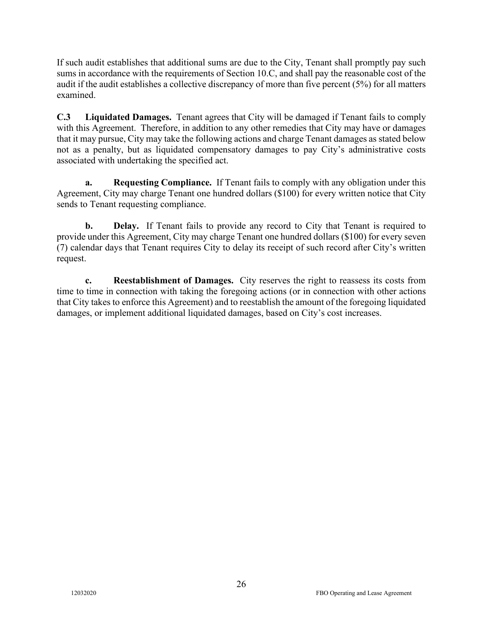If such audit establishes that additional sums are due to the City, Tenant shall promptly pay such sums in accordance with the requirements of Section 10.C, and shall pay the reasonable cost of the audit if the audit establishes a collective discrepancy of more than five percent (5%) for all matters examined.

**C.3 Liquidated Damages.** Tenant agrees that City will be damaged if Tenant fails to comply with this Agreement. Therefore, in addition to any other remedies that City may have or damages that it may pursue, City may take the following actions and charge Tenant damages as stated below not as a penalty, but as liquidated compensatory damages to pay City's administrative costs associated with undertaking the specified act.

**a. Requesting Compliance.** If Tenant fails to comply with any obligation under this Agreement, City may charge Tenant one hundred dollars (\$100) for every written notice that City sends to Tenant requesting compliance.

**b. Delay.** If Tenant fails to provide any record to City that Tenant is required to provide under this Agreement, City may charge Tenant one hundred dollars (\$100) for every seven (7) calendar days that Tenant requires City to delay its receipt of such record after City's written request.

**c. Reestablishment of Damages.** City reserves the right to reassess its costs from time to time in connection with taking the foregoing actions (or in connection with other actions that City takes to enforce this Agreement) and to reestablish the amount of the foregoing liquidated damages, or implement additional liquidated damages, based on City's cost increases.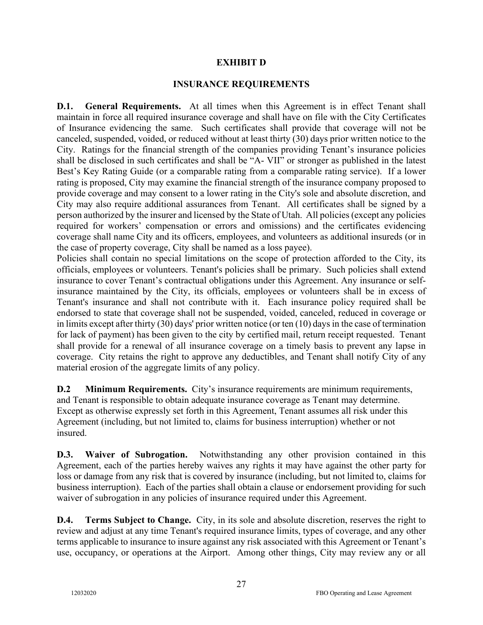#### **EXHIBIT D**

#### **INSURANCE REQUIREMENTS**

**D.1. General Requirements.** At all times when this Agreement is in effect Tenant shall maintain in force all required insurance coverage and shall have on file with the City Certificates of Insurance evidencing the same. Such certificates shall provide that coverage will not be canceled, suspended, voided, or reduced without at least thirty (30) days prior written notice to the City. Ratings for the financial strength of the companies providing Tenant's insurance policies shall be disclosed in such certificates and shall be "A- VII" or stronger as published in the latest Best's Key Rating Guide (or a comparable rating from a comparable rating service). If a lower rating is proposed, City may examine the financial strength of the insurance company proposed to provide coverage and may consent to a lower rating in the City's sole and absolute discretion, and City may also require additional assurances from Tenant. All certificates shall be signed by a person authorized by the insurer and licensed by the State of Utah. All policies (except any policies required for workers' compensation or errors and omissions) and the certificates evidencing coverage shall name City and its officers, employees, and volunteers as additional insureds (or in the case of property coverage, City shall be named as a loss payee).

Policies shall contain no special limitations on the scope of protection afforded to the City, its officials, employees or volunteers. Tenant's policies shall be primary. Such policies shall extend insurance to cover Tenant's contractual obligations under this Agreement. Any insurance or selfinsurance maintained by the City, its officials, employees or volunteers shall be in excess of Tenant's insurance and shall not contribute with it. Each insurance policy required shall be endorsed to state that coverage shall not be suspended, voided, canceled, reduced in coverage or in limits except after thirty (30) days' prior written notice (or ten (10) days in the case of termination for lack of payment) has been given to the city by certified mail, return receipt requested. Tenant shall provide for a renewal of all insurance coverage on a timely basis to prevent any lapse in coverage. City retains the right to approve any deductibles, and Tenant shall notify City of any material erosion of the aggregate limits of any policy.

**D.2 Minimum Requirements.** City's insurance requirements are minimum requirements, and Tenant is responsible to obtain adequate insurance coverage as Tenant may determine. Except as otherwise expressly set forth in this Agreement, Tenant assumes all risk under this Agreement (including, but not limited to, claims for business interruption) whether or not insured.

**D.3. Waiver of Subrogation.** Notwithstanding any other provision contained in this Agreement, each of the parties hereby waives any rights it may have against the other party for loss or damage from any risk that is covered by insurance (including, but not limited to, claims for business interruption). Each of the parties shall obtain a clause or endorsement providing for such waiver of subrogation in any policies of insurance required under this Agreement.

**D.4.** Terms Subject to Change. City, in its sole and absolute discretion, reserves the right to review and adjust at any time Tenant's required insurance limits, types of coverage, and any other terms applicable to insurance to insure against any risk associated with this Agreement or Tenant's use, occupancy, or operations at the Airport. Among other things, City may review any or all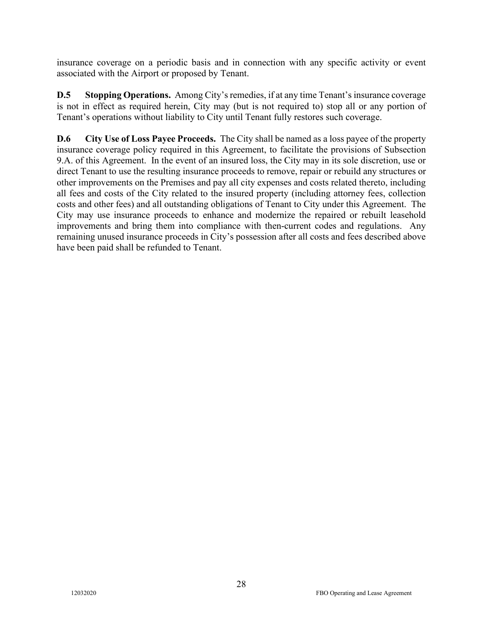insurance coverage on a periodic basis and in connection with any specific activity or event associated with the Airport or proposed by Tenant.

**D.5 Stopping Operations.** Among City's remedies, if at any time Tenant's insurance coverage is not in effect as required herein, City may (but is not required to) stop all or any portion of Tenant's operations without liability to City until Tenant fully restores such coverage.

**D.6 City Use of Loss Payee Proceeds.** The City shall be named as a loss payee of the property insurance coverage policy required in this Agreement, to facilitate the provisions of Subsection 9.A. of this Agreement. In the event of an insured loss, the City may in its sole discretion, use or direct Tenant to use the resulting insurance proceeds to remove, repair or rebuild any structures or other improvements on the Premises and pay all city expenses and costs related thereto, including all fees and costs of the City related to the insured property (including attorney fees, collection costs and other fees) and all outstanding obligations of Tenant to City under this Agreement. The City may use insurance proceeds to enhance and modernize the repaired or rebuilt leasehold improvements and bring them into compliance with then-current codes and regulations. Any remaining unused insurance proceeds in City's possession after all costs and fees described above have been paid shall be refunded to Tenant.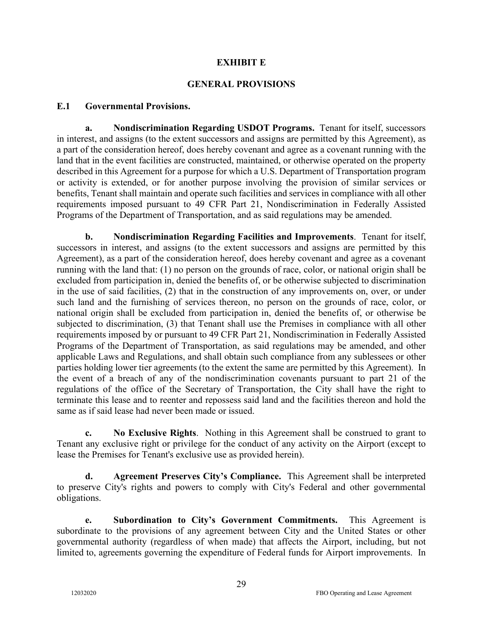### **EXHIBIT E**

### **GENERAL PROVISIONS**

#### **E.1 Governmental Provisions.**

**a. Nondiscrimination Regarding USDOT Programs.** Tenant for itself, successors in interest, and assigns (to the extent successors and assigns are permitted by this Agreement), as a part of the consideration hereof, does hereby covenant and agree as a covenant running with the land that in the event facilities are constructed, maintained, or otherwise operated on the property described in this Agreement for a purpose for which a U.S. Department of Transportation program or activity is extended, or for another purpose involving the provision of similar services or benefits, Tenant shall maintain and operate such facilities and services in compliance with all other requirements imposed pursuant to 49 CFR Part 21, Nondiscrimination in Federally Assisted Programs of the Department of Transportation, and as said regulations may be amended.

**b. Nondiscrimination Regarding Facilities and Improvements**. Tenant for itself, successors in interest, and assigns (to the extent successors and assigns are permitted by this Agreement), as a part of the consideration hereof, does hereby covenant and agree as a covenant running with the land that: (1) no person on the grounds of race, color, or national origin shall be excluded from participation in, denied the benefits of, or be otherwise subjected to discrimination in the use of said facilities, (2) that in the construction of any improvements on, over, or under such land and the furnishing of services thereon, no person on the grounds of race, color, or national origin shall be excluded from participation in, denied the benefits of, or otherwise be subjected to discrimination, (3) that Tenant shall use the Premises in compliance with all other requirements imposed by or pursuant to 49 CFR Part 21, Nondiscrimination in Federally Assisted Programs of the Department of Transportation, as said regulations may be amended, and other applicable Laws and Regulations, and shall obtain such compliance from any sublessees or other parties holding lower tier agreements (to the extent the same are permitted by this Agreement). In the event of a breach of any of the nondiscrimination covenants pursuant to part 21 of the regulations of the office of the Secretary of Transportation, the City shall have the right to terminate this lease and to reenter and repossess said land and the facilities thereon and hold the same as if said lease had never been made or issued.

**c. No Exclusive Rights**. Nothing in this Agreement shall be construed to grant to Tenant any exclusive right or privilege for the conduct of any activity on the Airport (except to lease the Premises for Tenant's exclusive use as provided herein).

**d. Agreement Preserves City's Compliance.** This Agreement shall be interpreted to preserve City's rights and powers to comply with City's Federal and other governmental obligations.

**e. Subordination to City's Government Commitments.** This Agreement is subordinate to the provisions of any agreement between City and the United States or other governmental authority (regardless of when made) that affects the Airport, including, but not limited to, agreements governing the expenditure of Federal funds for Airport improvements. In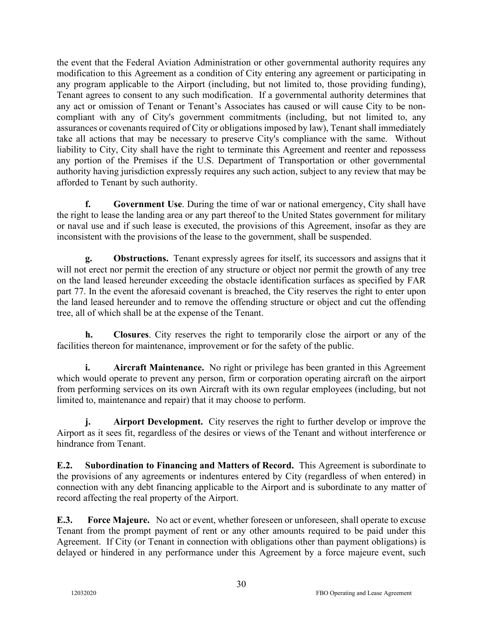the event that the Federal Aviation Administration or other governmental authority requires any modification to this Agreement as a condition of City entering any agreement or participating in any program applicable to the Airport (including, but not limited to, those providing funding), Tenant agrees to consent to any such modification. If a governmental authority determines that any act or omission of Tenant or Tenant's Associates has caused or will cause City to be noncompliant with any of City's government commitments (including, but not limited to, any assurances or covenants required of City or obligations imposed by law), Tenant shall immediately take all actions that may be necessary to preserve City's compliance with the same. Without liability to City, City shall have the right to terminate this Agreement and reenter and repossess any portion of the Premises if the U.S. Department of Transportation or other governmental authority having jurisdiction expressly requires any such action, subject to any review that may be afforded to Tenant by such authority.

**f. Government Use**. During the time of war or national emergency, City shall have the right to lease the landing area or any part thereof to the United States government for military or naval use and if such lease is executed, the provisions of this Agreement, insofar as they are inconsistent with the provisions of the lease to the government, shall be suspended.

**g. Obstructions.** Tenant expressly agrees for itself, its successors and assigns that it will not erect nor permit the erection of any structure or object nor permit the growth of any tree on the land leased hereunder exceeding the obstacle identification surfaces as specified by FAR part 77. In the event the aforesaid covenant is breached, the City reserves the right to enter upon the land leased hereunder and to remove the offending structure or object and cut the offending tree, all of which shall be at the expense of the Tenant.

**h. Closures**. City reserves the right to temporarily close the airport or any of the facilities thereon for maintenance, improvement or for the safety of the public.

**i.** Aircraft Maintenance. No right or privilege has been granted in this Agreement which would operate to prevent any person, firm or corporation operating aircraft on the airport from performing services on its own Aircraft with its own regular employees (including, but not limited to, maintenance and repair) that it may choose to perform.

**j.** Airport Development. City reserves the right to further develop or improve the Airport as it sees fit, regardless of the desires or views of the Tenant and without interference or hindrance from Tenant.

**E.2. Subordination to Financing and Matters of Record.** This Agreement is subordinate to the provisions of any agreements or indentures entered by City (regardless of when entered) in connection with any debt financing applicable to the Airport and is subordinate to any matter of record affecting the real property of the Airport.

**E.3. Force Majeure.** No act or event, whether foreseen or unforeseen, shall operate to excuse Tenant from the prompt payment of rent or any other amounts required to be paid under this Agreement. If City (or Tenant in connection with obligations other than payment obligations) is delayed or hindered in any performance under this Agreement by a force majeure event, such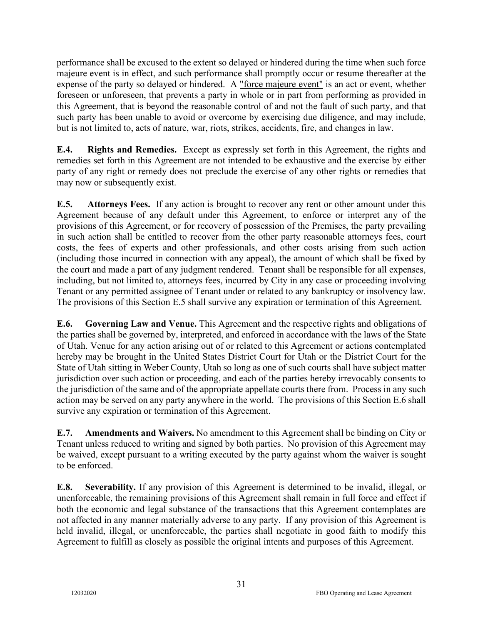performance shall be excused to the extent so delayed or hindered during the time when such force majeure event is in effect, and such performance shall promptly occur or resume thereafter at the expense of the party so delayed or hindered. A "force majeure event" is an act or event, whether foreseen or unforeseen, that prevents a party in whole or in part from performing as provided in this Agreement, that is beyond the reasonable control of and not the fault of such party, and that such party has been unable to avoid or overcome by exercising due diligence, and may include, but is not limited to, acts of nature, war, riots, strikes, accidents, fire, and changes in law.

**E.4. Rights and Remedies.** Except as expressly set forth in this Agreement, the rights and remedies set forth in this Agreement are not intended to be exhaustive and the exercise by either party of any right or remedy does not preclude the exercise of any other rights or remedies that may now or subsequently exist.

**E.5. Attorneys Fees.** If any action is brought to recover any rent or other amount under this Agreement because of any default under this Agreement, to enforce or interpret any of the provisions of this Agreement, or for recovery of possession of the Premises, the party prevailing in such action shall be entitled to recover from the other party reasonable attorneys fees, court costs, the fees of experts and other professionals, and other costs arising from such action (including those incurred in connection with any appeal), the amount of which shall be fixed by the court and made a part of any judgment rendered. Tenant shall be responsible for all expenses, including, but not limited to, attorneys fees, incurred by City in any case or proceeding involving Tenant or any permitted assignee of Tenant under or related to any bankruptcy or insolvency law. The provisions of this Section E.5 shall survive any expiration or termination of this Agreement.

**E.6. Governing Law and Venue.** This Agreement and the respective rights and obligations of the parties shall be governed by, interpreted, and enforced in accordance with the laws of the State of Utah. Venue for any action arising out of or related to this Agreement or actions contemplated hereby may be brought in the United States District Court for Utah or the District Court for the State of Utah sitting in Weber County, Utah so long as one of such courts shall have subject matter jurisdiction over such action or proceeding, and each of the parties hereby irrevocably consents to the jurisdiction of the same and of the appropriate appellate courts there from. Process in any such action may be served on any party anywhere in the world. The provisions of this Section E.6 shall survive any expiration or termination of this Agreement.

**E.7. Amendments and Waivers.** No amendment to this Agreement shall be binding on City or Tenant unless reduced to writing and signed by both parties. No provision of this Agreement may be waived, except pursuant to a writing executed by the party against whom the waiver is sought to be enforced.

**E.8. Severability.** If any provision of this Agreement is determined to be invalid, illegal, or unenforceable, the remaining provisions of this Agreement shall remain in full force and effect if both the economic and legal substance of the transactions that this Agreement contemplates are not affected in any manner materially adverse to any party. If any provision of this Agreement is held invalid, illegal, or unenforceable, the parties shall negotiate in good faith to modify this Agreement to fulfill as closely as possible the original intents and purposes of this Agreement.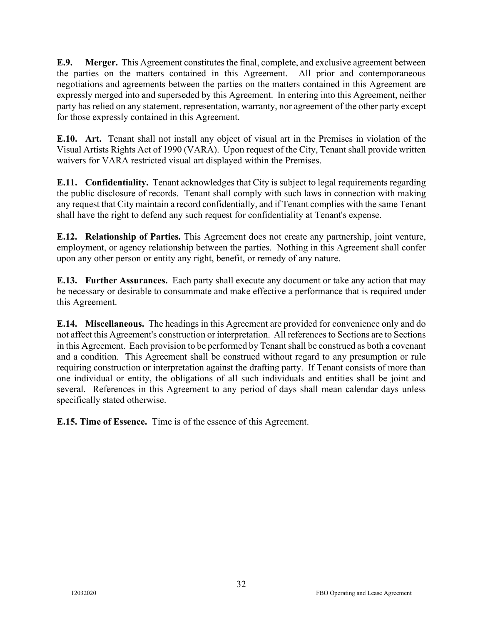**E.9. Merger.** This Agreement constitutes the final, complete, and exclusive agreement between the parties on the matters contained in this Agreement. All prior and contemporaneous negotiations and agreements between the parties on the matters contained in this Agreement are expressly merged into and superseded by this Agreement. In entering into this Agreement, neither party has relied on any statement, representation, warranty, nor agreement of the other party except for those expressly contained in this Agreement.

**E.10. Art.** Tenant shall not install any object of visual art in the Premises in violation of the Visual Artists Rights Act of 1990 (VARA). Upon request of the City, Tenant shall provide written waivers for VARA restricted visual art displayed within the Premises.

**E.11. Confidentiality.** Tenant acknowledges that City is subject to legal requirements regarding the public disclosure of records. Tenant shall comply with such laws in connection with making any request that City maintain a record confidentially, and if Tenant complies with the same Tenant shall have the right to defend any such request for confidentiality at Tenant's expense.

**E.12. Relationship of Parties.** This Agreement does not create any partnership, joint venture, employment, or agency relationship between the parties. Nothing in this Agreement shall confer upon any other person or entity any right, benefit, or remedy of any nature.

**E.13. Further Assurances.** Each party shall execute any document or take any action that may be necessary or desirable to consummate and make effective a performance that is required under this Agreement.

**E.14. Miscellaneous.** The headings in this Agreement are provided for convenience only and do not affect this Agreement's construction or interpretation. All referencesto Sections are to Sections in this Agreement. Each provision to be performed by Tenant shall be construed as both a covenant and a condition. This Agreement shall be construed without regard to any presumption or rule requiring construction or interpretation against the drafting party. If Tenant consists of more than one individual or entity, the obligations of all such individuals and entities shall be joint and several. References in this Agreement to any period of days shall mean calendar days unless specifically stated otherwise.

**E.15. Time of Essence.** Time is of the essence of this Agreement.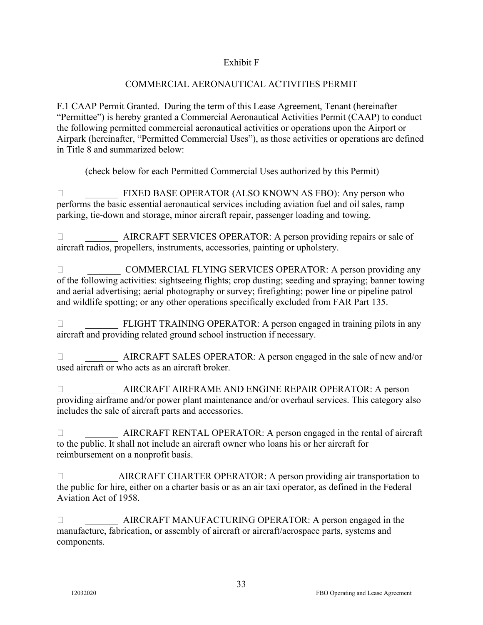### Exhibit F

# COMMERCIAL AERONAUTICAL ACTIVITIES PERMIT

F.1 CAAP Permit Granted. During the term of this Lease Agreement, Tenant (hereinafter "Permittee") is hereby granted a Commercial Aeronautical Activities Permit (CAAP) to conduct the following permitted commercial aeronautical activities or operations upon the Airport or Airpark (hereinafter, "Permitted Commercial Uses"), as those activities or operations are defined in Title 8 and summarized below:

(check below for each Permitted Commercial Uses authorized by this Permit)

 \_\_\_\_\_\_\_ FIXED BASE OPERATOR (ALSO KNOWN AS FBO): Any person who performs the basic essential aeronautical services including aviation fuel and oil sales, ramp parking, tie-down and storage, minor aircraft repair, passenger loading and towing.

□<br>AIRCRAFT SERVICES OPERATOR: A person providing repairs or sale of aircraft radios, propellers, instruments, accessories, painting or upholstery.

□ COMMERCIAL FLYING SERVICES OPERATOR: A person providing any of the following activities: sightseeing flights; crop dusting; seeding and spraying; banner towing and aerial advertising; aerial photography or survey; firefighting; power line or pipeline patrol and wildlife spotting; or any other operations specifically excluded from FAR Part 135.

□<br>
FLIGHT TRAINING OPERATOR: A person engaged in training pilots in any aircraft and providing related ground school instruction if necessary.

 \_\_\_\_\_\_\_ AIRCRAFT SALES OPERATOR: A person engaged in the sale of new and/or used aircraft or who acts as an aircraft broker.

 \_\_\_\_\_\_\_ AIRCRAFT AIRFRAME AND ENGINE REPAIR OPERATOR: A person providing airframe and/or power plant maintenance and/or overhaul services. This category also includes the sale of aircraft parts and accessories.

 \_\_\_\_\_\_\_ AIRCRAFT RENTAL OPERATOR: A person engaged in the rental of aircraft to the public. It shall not include an aircraft owner who loans his or her aircraft for reimbursement on a nonprofit basis.

 \_\_\_\_\_\_ AIRCRAFT CHARTER OPERATOR: A person providing air transportation to the public for hire, either on a charter basis or as an air taxi operator, as defined in the Federal Aviation Act of 1958.

 \_\_\_\_\_\_\_ AIRCRAFT MANUFACTURING OPERATOR: A person engaged in the manufacture, fabrication, or assembly of aircraft or aircraft/aerospace parts, systems and components.

33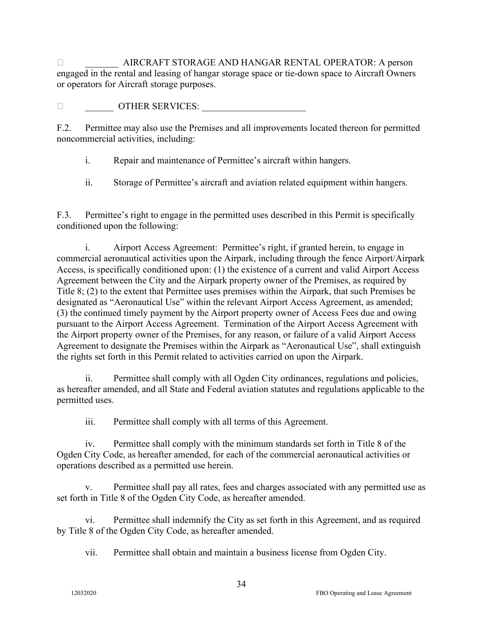\_\_\_\_\_\_\_ AIRCRAFT STORAGE AND HANGAR RENTAL OPERATOR: A person engaged in the rental and leasing of hangar storage space or tie-down space to Aircraft Owners or operators for Aircraft storage purposes.

 $\Box$   $\Box$  OTHER SERVICES:

F.2. Permittee may also use the Premises and all improvements located thereon for permitted noncommercial activities, including:

i. Repair and maintenance of Permittee's aircraft within hangers.

ii. Storage of Permittee's aircraft and aviation related equipment within hangers.

F.3. Permittee's right to engage in the permitted uses described in this Permit is specifically conditioned upon the following:

i. Airport Access Agreement: Permittee's right, if granted herein, to engage in commercial aeronautical activities upon the Airpark, including through the fence Airport/Airpark Access, is specifically conditioned upon: (1) the existence of a current and valid Airport Access Agreement between the City and the Airpark property owner of the Premises, as required by Title 8; (2) to the extent that Permittee uses premises within the Airpark, that such Premises be designated as "Aeronautical Use" within the relevant Airport Access Agreement, as amended; (3) the continued timely payment by the Airport property owner of Access Fees due and owing pursuant to the Airport Access Agreement. Termination of the Airport Access Agreement with the Airport property owner of the Premises, for any reason, or failure of a valid Airport Access Agreement to designate the Premises within the Airpark as "Aeronautical Use", shall extinguish the rights set forth in this Permit related to activities carried on upon the Airpark.

ii. Permittee shall comply with all Ogden City ordinances, regulations and policies, as hereafter amended, and all State and Federal aviation statutes and regulations applicable to the permitted uses.

iii. Permittee shall comply with all terms of this Agreement.

iv. Permittee shall comply with the minimum standards set forth in Title 8 of the Ogden City Code, as hereafter amended, for each of the commercial aeronautical activities or operations described as a permitted use herein.

v. Permittee shall pay all rates, fees and charges associated with any permitted use as set forth in Title 8 of the Ogden City Code, as hereafter amended.

vi. Permittee shall indemnify the City as set forth in this Agreement, and as required by Title 8 of the Ogden City Code, as hereafter amended.

vii. Permittee shall obtain and maintain a business license from Ogden City.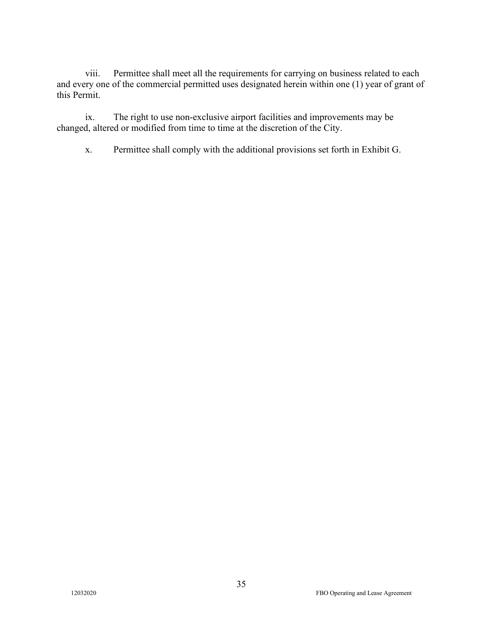viii. Permittee shall meet all the requirements for carrying on business related to each and every one of the commercial permitted uses designated herein within one (1) year of grant of this Permit.

ix. The right to use non-exclusive airport facilities and improvements may be changed, altered or modified from time to time at the discretion of the City.

x. Permittee shall comply with the additional provisions set forth in Exhibit G.